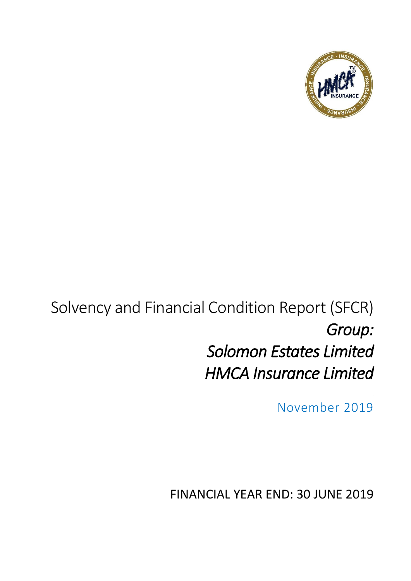

## Solvency and Financial Condition Report (SFCR) *Group: Solomon Estates Limited HMCA Insurance Limited*

November 2019

FINANCIAL YEAR END: 30 JUNE 2019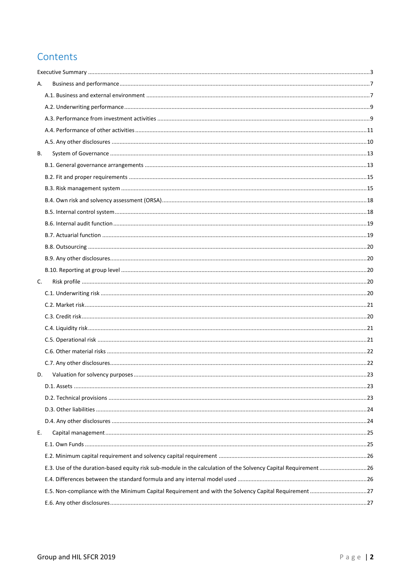#### Contents

| А.                                                                                                              |  |
|-----------------------------------------------------------------------------------------------------------------|--|
|                                                                                                                 |  |
|                                                                                                                 |  |
|                                                                                                                 |  |
|                                                                                                                 |  |
|                                                                                                                 |  |
| В.                                                                                                              |  |
|                                                                                                                 |  |
|                                                                                                                 |  |
|                                                                                                                 |  |
|                                                                                                                 |  |
|                                                                                                                 |  |
|                                                                                                                 |  |
|                                                                                                                 |  |
|                                                                                                                 |  |
|                                                                                                                 |  |
|                                                                                                                 |  |
| C.                                                                                                              |  |
|                                                                                                                 |  |
|                                                                                                                 |  |
|                                                                                                                 |  |
|                                                                                                                 |  |
|                                                                                                                 |  |
|                                                                                                                 |  |
|                                                                                                                 |  |
| D.                                                                                                              |  |
|                                                                                                                 |  |
|                                                                                                                 |  |
|                                                                                                                 |  |
|                                                                                                                 |  |
| E.                                                                                                              |  |
|                                                                                                                 |  |
|                                                                                                                 |  |
| E.3. Use of the duration-based equity risk sub-module in the calculation of the Solvency Capital Requirement 26 |  |
|                                                                                                                 |  |
|                                                                                                                 |  |
|                                                                                                                 |  |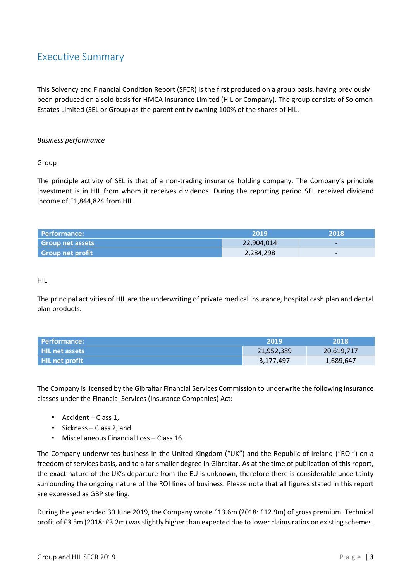#### <span id="page-2-0"></span>Executive Summary

This Solvency and Financial Condition Report (SFCR) is the first produced on a group basis, having previously been produced on a solo basis for HMCA Insurance Limited (HIL or Company). The group consists of Solomon Estates Limited (SEL or Group) as the parent entity owning 100% of the shares of HIL.

#### *Business performance*

#### Group

The principle activity of SEL is that of a non-trading insurance holding company. The Company's principle investment is in HIL from whom it receives dividends. During the reporting period SEL received dividend income of £1,844,824 from HIL.

| Performance:            | 2019       | 2018'                    |
|-------------------------|------------|--------------------------|
| <b>Group net assets</b> | 22,904,014 | $\overline{\phantom{0}}$ |
| <b>Group net profit</b> | 2,284,298  | $\overline{\phantom{0}}$ |

#### HIL

The principal activities of HIL are the underwriting of private medical insurance, hospital cash plan and dental plan products.

| Performance:   | -2019      | 2018       |
|----------------|------------|------------|
| HIL net assets | 21,952,389 | 20,619,717 |
| HIL net profit | 3,177,497  | 1,689,647  |

The Company is licensed by the Gibraltar Financial Services Commission to underwrite the following insurance classes under the Financial Services (Insurance Companies) Act:

- Accident Class 1,
- Sickness Class 2, and
- Miscellaneous Financial Loss Class 16.

The Company underwrites business in the United Kingdom ("UK") and the Republic of Ireland ("ROI") on a freedom of services basis, and to a far smaller degree in Gibraltar. As at the time of publication of this report, the exact nature of the UK's departure from the EU is unknown, therefore there is considerable uncertainty surrounding the ongoing nature of the ROI lines of business. Please note that all figures stated in this report are expressed as GBP sterling.

During the year ended 30 June 2019, the Company wrote £13.6m (2018: £12.9m) of gross premium. Technical profit of £3.5m (2018: £3.2m) was slightly higher than expected due to lower claims ratios on existing schemes.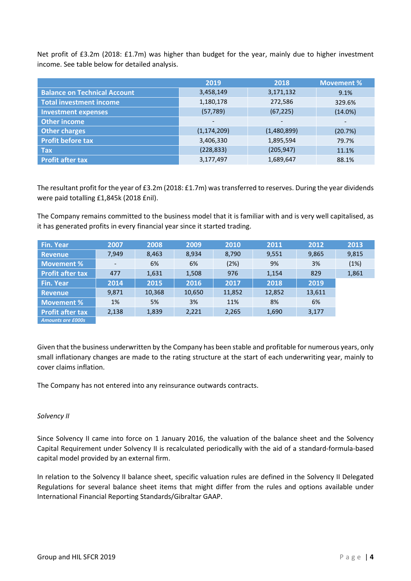Net profit of £3.2m (2018: £1.7m) was higher than budget for the year, mainly due to higher investment income. See table below for detailed analysis.

|                                     | 2019                     | 2018                         | <b>Movement %</b>        |
|-------------------------------------|--------------------------|------------------------------|--------------------------|
| <b>Balance on Technical Account</b> | 3,458,149                | 3,171,132                    | 9.1%                     |
| <b>Total investment income</b>      | 1,180,178                | 272,586                      | 329.6%                   |
| <b>Investment expenses</b>          | (57, 789)                | (67, 225)                    | $(14.0\%)$               |
| <b>Other income</b>                 | $\overline{\phantom{0}}$ | $\qquad \qquad \blacksquare$ | $\overline{\phantom{0}}$ |
| Other charges                       | (1, 174, 209)            | (1,480,899)                  | (20.7%)                  |
| <b>Profit before tax</b>            | 3,406,330                | 1,895,594                    | 79.7%                    |
| <b>Tax</b>                          | (228, 833)               | (205, 947)                   | 11.1%                    |
| <b>Profit after tax</b>             | 3,177,497                | 1,689,647                    | 88.1%                    |

The resultant profit for the year of £3.2m (2018: £1.7m) was transferred to reserves. During the year dividends were paid totalling £1,845k (2018 £nil).

The Company remains committed to the business model that it is familiar with and is very well capitalised, as it has generated profits in every financial year since it started trading.

| <b>Fin. Year</b>         | 2007  | 2008   | 2009   | 2010   | 2011   | 2012   | 2013  |
|--------------------------|-------|--------|--------|--------|--------|--------|-------|
| <b>Revenue</b>           | 7,949 | 8,463  | 8,934  | 8,790  | 9,551  | 9,865  | 9,815 |
| Movement %               |       | 6%     | 6%     | (2%)   | 9%     | 3%     | (1%)  |
| <b>Profit after tax</b>  | 477   | 1,631  | 1,508  | 976    | 1,154  | 829    | 1,861 |
| <b>Fin. Year</b>         | 2014  | 2015   | 2016   | 2017   | 2018   | 2019   |       |
| <b>Revenue</b>           | 9,871 | 10,368 | 10,650 | 11,852 | 12,852 | 13,611 |       |
| Movement %               | 1%    | 5%     | 3%     | 11%    | 8%     | 6%     |       |
| <b>Profit after tax</b>  | 2,138 | 1,839  | 2,221  | 2,265  | 1,690  | 3,177  |       |
| <b>Amounts are £000s</b> |       |        |        |        |        |        |       |

Given that the business underwritten by the Company has been stable and profitable for numerous years, only small inflationary changes are made to the rating structure at the start of each underwriting year, mainly to cover claims inflation.

The Company has not entered into any reinsurance outwards contracts.

#### *Solvency II*

Since Solvency II came into force on 1 January 2016, the valuation of the balance sheet and the Solvency Capital Requirement under Solvency II is recalculated periodically with the aid of a standard-formula-based capital model provided by an external firm.

In relation to the Solvency II balance sheet, specific valuation rules are defined in the Solvency II Delegated Regulations for several balance sheet items that might differ from the rules and options available under International Financial Reporting Standards/Gibraltar GAAP.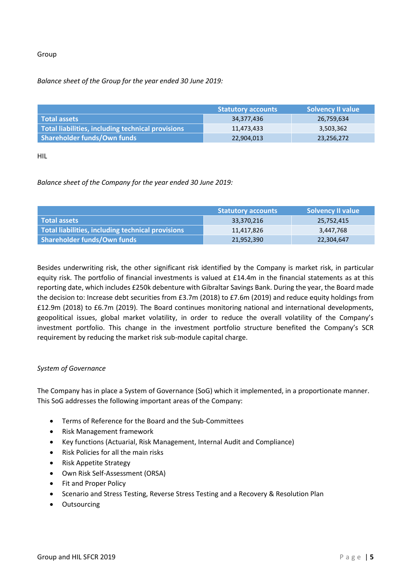#### Group

#### *Balance sheet of the Group for the year ended 30 June 2019:*

|                                                   | <b>Statutory accounts</b> | <b>Solvency II value</b> |
|---------------------------------------------------|---------------------------|--------------------------|
| l Total assets                                    | 34,377,436                | 26,759,634               |
| Total liabilities, including technical provisions | 11.473.433                | 3,503,362                |
| Shareholder funds/Own funds                       | 22,904,013                | 23,256,272               |

HIL

#### *Balance sheet of the Company for the year ended 30 June 2019:*

|                                                   | <b>Statutory accounts</b> | <b>Solvency II value</b> |
|---------------------------------------------------|---------------------------|--------------------------|
| l Total assets                                    | 33,370,216                | 25,752,415               |
| Total liabilities, including technical provisions | 11,417,826                | 3,447,768                |
| Shareholder funds/Own funds                       | 21,952,390                | 22,304,647               |

Besides underwriting risk, the other significant risk identified by the Company is market risk, in particular equity risk. The portfolio of financial investments is valued at £14.4m in the financial statements as at this reporting date, which includes £250k debenture with Gibraltar Savings Bank. During the year, the Board made the decision to: Increase debt securities from £3.7m (2018) to £7.6m (2019) and reduce equity holdings from £12.9m (2018) to £6.7m (2019). The Board continues monitoring national and international developments, geopolitical issues, global market volatility, in order to reduce the overall volatility of the Company's investment portfolio. This change in the investment portfolio structure benefited the Company's SCR requirement by reducing the market risk sub-module capital charge.

#### *System of Governance*

The Company has in place a System of Governance (SoG) which it implemented, in a proportionate manner. This SoG addresses the following important areas of the Company:

- Terms of Reference for the Board and the Sub-Committees
- Risk Management framework
- Key functions (Actuarial, Risk Management, Internal Audit and Compliance)
- Risk Policies for all the main risks
- Risk Appetite Strategy
- Own Risk Self-Assessment (ORSA)
- Fit and Proper Policy
- Scenario and Stress Testing, Reverse Stress Testing and a Recovery & Resolution Plan
- Outsourcing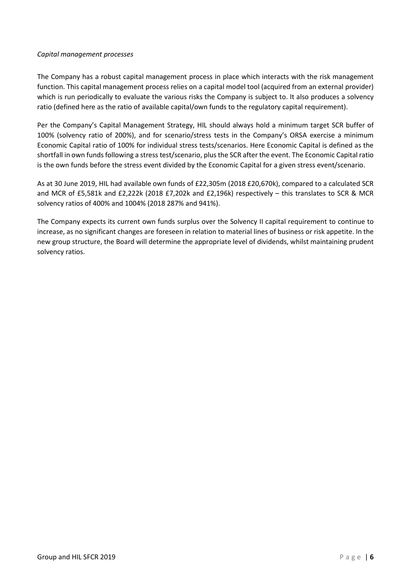#### *Capital management processes*

The Company has a robust capital management process in place which interacts with the risk management function. This capital management process relies on a capital model tool (acquired from an external provider) which is run periodically to evaluate the various risks the Company is subject to. It also produces a solvency ratio (defined here as the ratio of available capital/own funds to the regulatory capital requirement).

Per the Company's Capital Management Strategy, HIL should always hold a minimum target SCR buffer of 100% (solvency ratio of 200%), and for scenario/stress tests in the Company's ORSA exercise a minimum Economic Capital ratio of 100% for individual stress tests/scenarios. Here Economic Capital is defined as the shortfall in own funds following a stress test/scenario, plus the SCR after the event. The Economic Capital ratio is the own funds before the stress event divided by the Economic Capital for a given stress event/scenario.

As at 30 June 2019, HIL had available own funds of £22,305m (2018 £20,670k), compared to a calculated SCR and MCR of £5,581k and £2,222k (2018 £7,202k and £2,196k) respectively – this translates to SCR & MCR solvency ratios of 400% and 1004% (2018 287% and 941%).

The Company expects its current own funds surplus over the Solvency II capital requirement to continue to increase, as no significant changes are foreseen in relation to material lines of business or risk appetite. In the new group structure, the Board will determine the appropriate level of dividends, whilst maintaining prudent solvency ratios.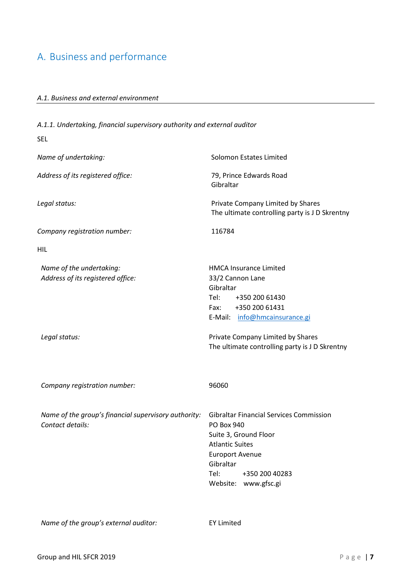#### <span id="page-6-1"></span><span id="page-6-0"></span>A. Business and performance

#### *A.1. Business and external environment*

*A.1.1. Undertaking, financial supervisory authority and external auditor* SEL *Name of undertaking:* Solomon Estates Limited *Address of its registered office:* 79, Prince Edwards Road Gibraltar *Legal status:* Private Company Limited by Shares The ultimate controlling party is J D Skrentny *Company registration number:* 116784 HIL *Name of the undertaking:* Maxwell **HMCA** Insurance Limited *Address of its registered office:* 33/2 Cannon Lane Gibraltar Tel: +350 200 61430 Fax: +350 200 61431 E-Mail: [info@hmcainsurance.gi](mailto:info@hmcainsurance.gi) *Legal status:* Private Company Limited by Shares The ultimate controlling party is J D Skrentny *Company registration number:* 96060 *Name of the group's financial supervisory authority:* Gibraltar Financial Services Commission *Contact details:* PO Box 940 Suite 3, Ground Floor Atlantic Suites Europort Avenue Gibraltar Tel: +350 200 40283 Website: www.gfsc.gi

*Name of the group's external auditor:* EY Limited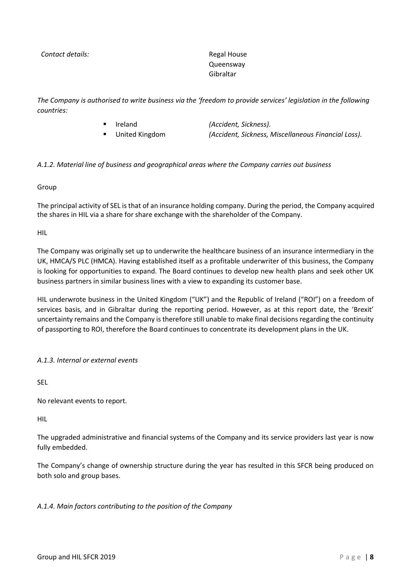**Contact details:** Regal House

Queensway Gibraltar

*The Company is authorised to write business via the 'freedom to provide services' legislation in the following countries:*

- Ireland *(Accident, Sickness).*
- 

▪ United Kingdom *(Accident, Sickness, Miscellaneous Financial Loss).*

#### *A.1.2. Material line of business and geographical areas where the Company carries out business*

Group

The principal activity of SEL is that of an insurance holding company. During the period, the Company acquired the shares in HIL via a share for share exchange with the shareholder of the Company.

HIL

The Company was originally set up to underwrite the healthcare business of an insurance intermediary in the UK, HMCA/S PLC (HMCA). Having established itself as a profitable underwriter of this business, the Company is looking for opportunities to expand. The Board continues to develop new health plans and seek other UK business partners in similar business lines with a view to expanding its customer base.

HIL underwrote business in the United Kingdom ("UK") and the Republic of Ireland ("ROI") on a freedom of services basis, and in Gibraltar during the reporting period. However, as at this report date, the 'Brexit' uncertainty remains and the Company is therefore still unable to make final decisions regarding the continuity of passporting to ROI, therefore the Board continues to concentrate its development plans in the UK.

*A.1.3. Internal or external events*

SEL

No relevant events to report.

HIL

The upgraded administrative and financial systems of the Company and its service providers last year is now fully embedded.

The Company's change of ownership structure during the year has resulted in this SFCR being produced on both solo and group bases.

#### *A.1.4. Main factors contributing to the position of the Company*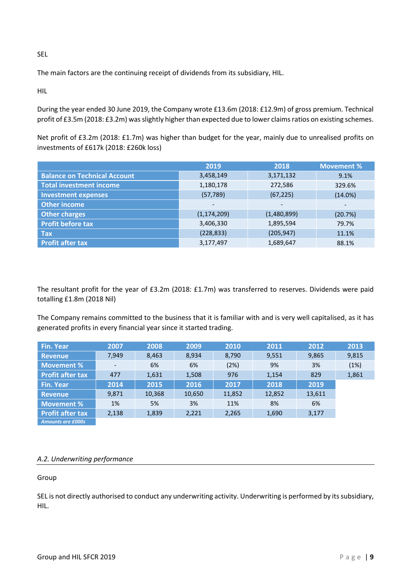SEL

The main factors are the continuing receipt of dividends from its subsidiary, HIL.

HIL

During the year ended 30 June 2019, the Company wrote £13.6m (2018: £12.9m) of gross premium. Technical profit of £3.5m (2018: £3.2m) was slightly higher than expected due to lower claims ratios on existing schemes.

Net profit of £3.2m (2018: £1.7m) was higher than budget for the year, mainly due to unrealised profits on investments of £617k (2018: £260k loss)

|                                     | 2019          | 2018                     | <b>Movement %</b>        |
|-------------------------------------|---------------|--------------------------|--------------------------|
| <b>Balance on Technical Account</b> | 3,458,149     | 3,171,132                | 9.1%                     |
| <b>Total investment income</b>      | 1,180,178     | 272,586                  | 329.6%                   |
| <b>Investment expenses</b>          | (57, 789)     | (67, 225)                | $(14.0\%)$               |
| <b>Other income</b>                 | -             | $\overline{\phantom{a}}$ | $\overline{\phantom{a}}$ |
| <b>Other charges</b>                | (1, 174, 209) | (1,480,899)              | (20.7%)                  |
| <b>Profit before tax</b>            | 3,406,330     | 1,895,594                | 79.7%                    |
| <b>Tax</b>                          | (228, 833)    | (205, 947)               | 11.1%                    |
| <b>Profit after tax</b>             | 3,177,497     | 1,689,647                | 88.1%                    |

The resultant profit for the year of £3.2m (2018: £1.7m) was transferred to reserves. Dividends were paid totalling £1.8m (2018 Nil)

The Company remains committed to the business that it is familiar with and is very well capitalised, as it has generated profits in every financial year since it started trading.

| <b>Fin. Year</b>         | 2007  | 2008   | 2009   | 2010   | 2011   | 2012   | 2013  |
|--------------------------|-------|--------|--------|--------|--------|--------|-------|
| <b>Revenue</b>           | 7,949 | 8,463  | 8,934  | 8,790  | 9,551  | 9,865  | 9,815 |
| Movement %               | -     | 6%     | 6%     | (2%)   | 9%     | 3%     | (1%)  |
| <b>Profit after tax</b>  | 477   | 1,631  | 1,508  | 976    | 1,154  | 829    | 1,861 |
| <b>Fin. Year</b>         | 2014  | 2015   | 2016   | 2017   | 2018   | 2019   |       |
| <b>Revenue</b>           | 9,871 | 10,368 | 10,650 | 11,852 | 12,852 | 13,611 |       |
| <b>Movement %</b>        | 1%    | 5%     | 3%     | 11%    | 8%     | 6%     |       |
| <b>Profit after tax</b>  | 2,138 | 1,839  | 2,221  | 2,265  | 1,690  | 3,177  |       |
| <b>Amounts are £000s</b> |       |        |        |        |        |        |       |

#### <span id="page-8-0"></span>*A.2. Underwriting performance*

Group

SEL is not directly authorised to conduct any underwriting activity. Underwriting is performed by its subsidiary, HIL.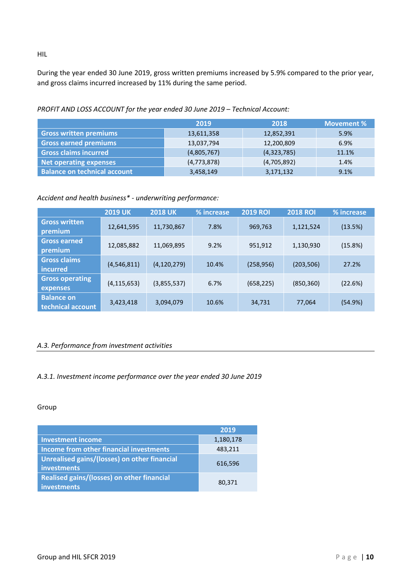During the year ended 30 June 2019, gross written premiums increased by 5.9% compared to the prior year, and gross claims incurred increased by 11% during the same period.

*PROFIT AND LOSS ACCOUNT for the year ended 30 June 2019 – Technical Account:*

|                                     | 2019        | 2018        | <b>Movement %</b> |
|-------------------------------------|-------------|-------------|-------------------|
| <b>Gross written premiums</b>       | 13,611,358  | 12,852,391  | 5.9%              |
| <b>Gross earned premiums</b>        | 13,037,794  | 12,200,809  | 6.9%              |
| <b>Gross claims incurred</b>        | (4,805,767) | (4,323,785) | 11.1%             |
| <b>Net operating expenses</b>       | (4,773,878) | (4,705,892) | 1.4%              |
| <b>Balance on technical account</b> | 3,458,149   | 3,171,132   | 9.1%              |

#### *Accident and health business\* - underwriting performance:*

|                                        | <b>2019 UK</b> | <b>2018 UK</b> | % increase | <b>2019 ROI</b> | <b>2018 ROI</b> | % increase |
|----------------------------------------|----------------|----------------|------------|-----------------|-----------------|------------|
| <b>Gross written</b><br>premium        | 12,641,595     | 11,730,867     | 7.8%       | 969,763         | 1,121,524       | (13.5%)    |
| <b>Gross earned</b><br>premium         | 12,085,882     | 11,069,895     | 9.2%       | 951,912         | 1,130,930       | (15.8%)    |
| <b>Gross claims</b><br>incurred        | (4,546,811)    | (4, 120, 279)  | 10.4%      | (258, 956)      | (203, 506)      | 27.2%      |
| <b>Gross operating</b><br>expenses     | (4, 115, 653)  | (3,855,537)    | 6.7%       | (658, 225)      | (850, 360)      | (22.6%)    |
| <b>Balance on</b><br>technical account | 3,423,418      | 3,094,079      | 10.6%      | 34,731          | 77,064          | (54.9%)    |

#### <span id="page-9-0"></span>*A.3. Performance from investment activities*

#### *A.3.1. Investment income performance over the year ended 30 June 2019*

#### Group

|                                                                  | 2019      |
|------------------------------------------------------------------|-----------|
| <b>Investment income</b>                                         | 1,180,178 |
| <b>Income from other financial investments</b>                   | 483,211   |
| Unrealised gains/(losses) on other financial<br>investments      | 616,596   |
| Realised gains/(losses) on other financial<br><b>investments</b> | 80,371    |

HIL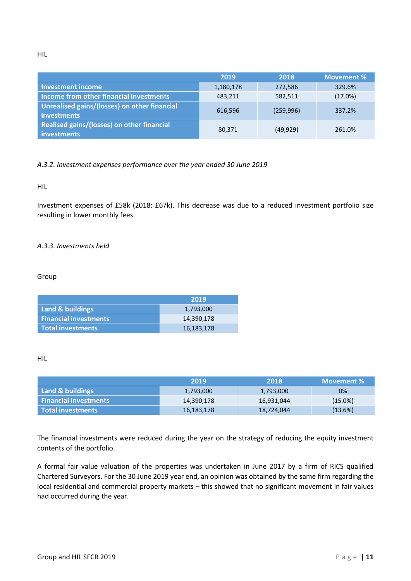HIL

|                                                                    | 2019      | 2018       | <b>Movement %</b> |
|--------------------------------------------------------------------|-----------|------------|-------------------|
| <b>Investment income</b>                                           | 1,180,178 | 272,586    | 329.6%            |
| Income from other financial investments                            | 483.211   | 582.511    | (17.0%)           |
| Unrealised gains/(losses) on other financial<br><i>investments</i> | 616,596   | (259, 996) | 337.2%            |
| Realised gains/(losses) on other financial<br>investments          | 80,371    | (49, 929)  | 261.0%            |

#### *A.3.2. Investment expenses performance over the year ended 30 June 2019*

HIL

Investment expenses of £58k (2018: £67k). This decrease was due to a reduced investment portfolio size resulting in lower monthly fees.

#### *A.3.3. Investments held*

Group

|                              | 2019       |
|------------------------------|------------|
| Land & buildings             | 1,793,000  |
| <b>Financial investments</b> | 14,390,178 |
| Total investments            | 16,183,178 |

#### HIL

|                              | 2019       | 2018       | Movement $\%$ \ |
|------------------------------|------------|------------|-----------------|
| Land & buildings             | 1,793,000  | 1,793,000  | 0%              |
| <b>Financial investments</b> | 14,390,178 | 16,931,044 | $(15.0\%)$      |
| l Total investments          | 16,183,178 | 18,724,044 | (13.6%)         |

<span id="page-10-0"></span>The financial investments were reduced during the year on the strategy of reducing the equity investment contents of the portfolio.

A formal fair value valuation of the properties was undertaken in June 2017 by a firm of RICS qualified Chartered Surveyors. For the 30 June 2019 year end, an opinion was obtained by the same firm regarding the local residential and commercial property markets – this showed that no significant movement in fair values had occurred during the year.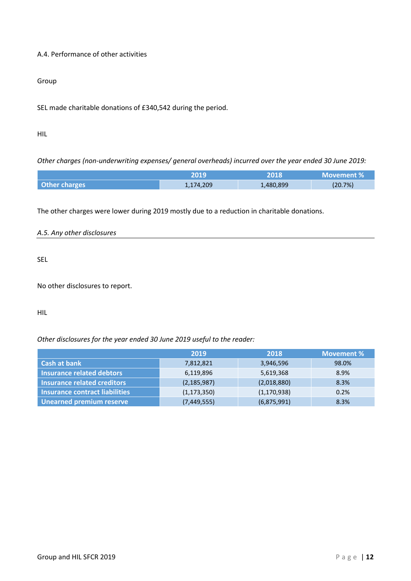#### A.4. Performance of other activities

#### Group

SEL made charitable donations of £340,542 during the period.

#### HIL

*Other charges (non-underwriting expenses/ general overheads) incurred over the year ended 30 June 2019:*

<span id="page-11-0"></span>

|                      | 2019      | 2018      | Movement % |
|----------------------|-----------|-----------|------------|
| <b>Other charges</b> | 1,174,209 | 1,480,899 | (20.7%)    |

The other charges were lower during 2019 mostly due to a reduction in charitable donations.

| A.5. Any other disclosures |  |  |
|----------------------------|--|--|
|                            |  |  |

SEL

No other disclosures to report.

HIL

*Other disclosures for the year ended 30 June 2019 useful to the reader:*

<span id="page-11-1"></span>

|                                    | 2019          | 2018          | <b>Movement %</b> |
|------------------------------------|---------------|---------------|-------------------|
| Cash at bank                       | 7,812,821     | 3,946,596     | 98.0%             |
| <b>Insurance related debtors</b>   | 6,119,896     | 5,619,368     | 8.9%              |
| <b>Insurance related creditors</b> | (2, 185, 987) | (2,018,880)   | 8.3%              |
| Insurance contract liabilities     | (1, 173, 350) | (1, 170, 938) | 0.2%              |
| <b>Unearned premium reserve</b>    | (7,449,555)   | (6,875,991)   | 8.3%              |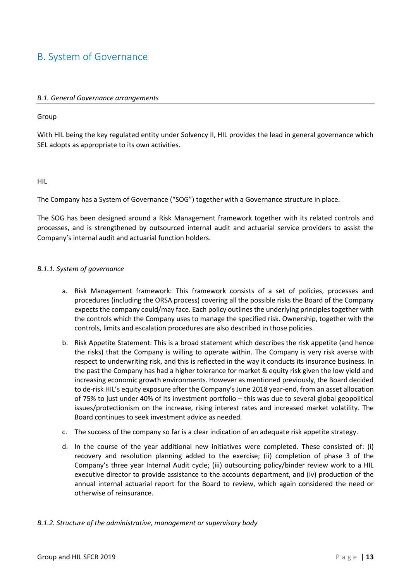#### <span id="page-12-0"></span>B. System of Governance

#### *B.1. General Governance arrangements*

#### Group

With HIL being the key regulated entity under Solvency II, HIL provides the lead in general governance which SEL adopts as appropriate to its own activities.

#### HIL

The Company has a System of Governance ("SOG") together with a Governance structure in place.

The SOG has been designed around a Risk Management framework together with its related controls and processes, and is strengthened by outsourced internal audit and actuarial service providers to assist the Company's internal audit and actuarial function holders.

#### *B.1.1. System of governance*

- a. Risk Management framework: This framework consists of a set of policies, processes and procedures (including the ORSA process) covering all the possible risks the Board of the Company expects the company could/may face. Each policy outlines the underlying principles together with the controls which the Company uses to manage the specified risk. Ownership, together with the controls, limits and escalation procedures are also described in those policies.
- b. Risk Appetite Statement: This is a broad statement which describes the risk appetite (and hence the risks) that the Company is willing to operate within. The Company is very risk averse with respect to underwriting risk, and this is reflected in the way it conducts its insurance business. In the past the Company has had a higher tolerance for market & equity risk given the low yield and increasing economic growth environments. However as mentioned previously, the Board decided to de-risk HIL's equity exposure after the Company's June 2018 year-end, from an asset allocation of 75% to just under 40% of its investment portfolio – this was due to several global geopolitical issues/protectionism on the increase, rising interest rates and increased market volatility. The Board continues to seek investment advice as needed.
- c. The success of the company so far is a clear indication of an adequate risk appetite strategy.
- d. In the course of the year additional new initiatives were completed. These consisted of: (i) recovery and resolution planning added to the exercise; (ii) completion of phase 3 of the Company's three year Internal Audit cycle; (iii) outsourcing policy/binder review work to a HIL executive director to provide assistance to the accounts department, and (iv) production of the annual internal actuarial report for the Board to review, which again considered the need or otherwise of reinsurance.

#### *B.1.2. Structure of the administrative, management or supervisory body*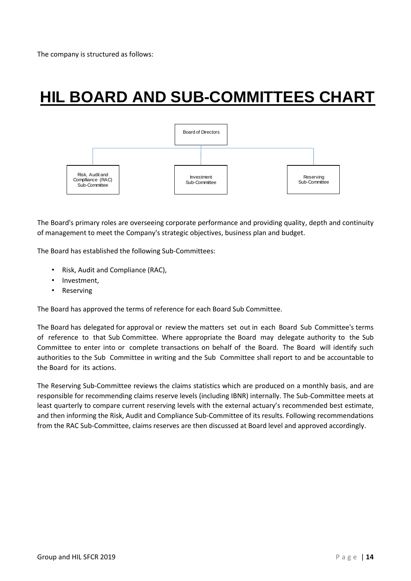## **HIL BOARD AND SUB-COMMITTEES CHART**



The Board's primary roles are overseeing corporate performance and providing quality, depth and continuity of management to meet the Company's strategic objectives, business plan and budget.

The Board has established the following Sub-Committees:

- Risk, Audit and Compliance (RAC),
- Investment,
- Reserving

The Board has approved the terms of reference for each Board Sub Committee.

The Board has delegated for approval or review the matters set out in each Board Sub Committee's terms of reference to that Sub Committee. Where appropriate the Board may delegate authority to the Sub Committee to enter into or complete transactions on behalf of the Board. The Board will identify such authorities to the Sub Committee in writing and the Sub Committee shall report to and be accountable to the Board for its actions.

The Reserving Sub-Committee reviews the claims statistics which are produced on a monthly basis, and are responsible for recommending claims reserve levels (including IBNR) internally. The Sub-Committee meets at least quarterly to compare current reserving levels with the external actuary's recommended best estimate, and then informing the Risk, Audit and Compliance Sub-Committee of its results. Following recommendations from the RAC Sub-Committee, claims reserves are then discussed at Board level and approved accordingly.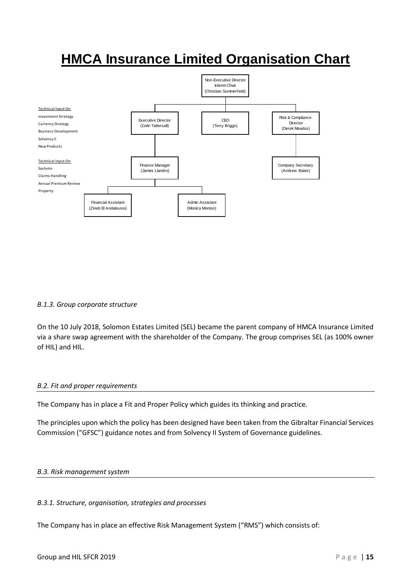### **HMCA Insurance Limited Organisation Chart**



#### *B.1.3. Group corporate structure*

On the 10 July 2018, Solomon Estates Limited (SEL) became the parent company of HMCA Insurance Limited via a share swap agreement with the shareholder of the Company. The group comprises SEL (as 100% owner of HIL) and HIL.

#### <span id="page-14-0"></span>*B.2. Fit and proper requirements*

The Company has in place a Fit and Proper Policy which guides its thinking and practice.

The principles upon which the policy has been designed have been taken from the Gibraltar Financial Services Commission ("GFSC") guidance notes and from Solvency II System of Governance guidelines.

#### <span id="page-14-1"></span>*B.3. Risk management system*

#### *B.3.1. Structure, organisation, strategies and processes*

The Company has in place an effective Risk Management System ("RMS") which consists of: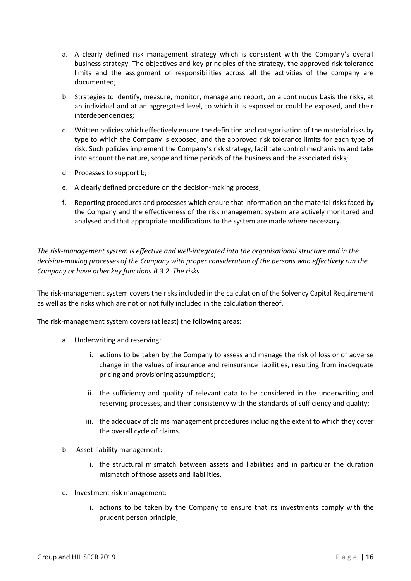- a. A clearly defined risk management strategy which is consistent with the Company's overall business strategy. The objectives and key principles of the strategy, the approved risk tolerance limits and the assignment of responsibilities across all the activities of the company are documented;
- b. Strategies to identify, measure, monitor, manage and report, on a continuous basis the risks, at an individual and at an aggregated level, to which it is exposed or could be exposed, and their interdependencies;
- c. Written policies which effectively ensure the definition and categorisation of the material risks by type to which the Company is exposed, and the approved risk tolerance limits for each type of risk. Such policies implement the Company's risk strategy, facilitate control mechanisms and take into account the nature, scope and time periods of the business and the associated risks;
- d. Processes to support b;
- e. A clearly defined procedure on the decision-making process;
- f. Reporting procedures and processes which ensure that information on the material risks faced by the Company and the effectiveness of the risk management system are actively monitored and analysed and that appropriate modifications to the system are made where necessary.

*The risk-management system is effective and well-integrated into the organisational structure and in the decision-making processes of the Company with proper consideration of the persons who effectively run the Company or have other key functions.B.3.2. The risks*

The risk-management system covers the risks included in the calculation of the Solvency Capital Requirement as well as the risks which are not or not fully included in the calculation thereof.

The risk-management system covers (at least) the following areas:

- a. Underwriting and reserving:
	- i. actions to be taken by the Company to assess and manage the risk of loss or of adverse change in the values of insurance and reinsurance liabilities, resulting from inadequate pricing and provisioning assumptions;
	- ii. the sufficiency and quality of relevant data to be considered in the underwriting and reserving processes, and their consistency with the standards of sufficiency and quality;
	- iii. the adequacy of claims management procedures including the extent to which they cover the overall cycle of claims.
- b. Asset-liability management:
	- i. the structural mismatch between assets and liabilities and in particular the duration mismatch of those assets and liabilities.
- c. Investment risk management:
	- i. actions to be taken by the Company to ensure that its investments comply with the prudent person principle;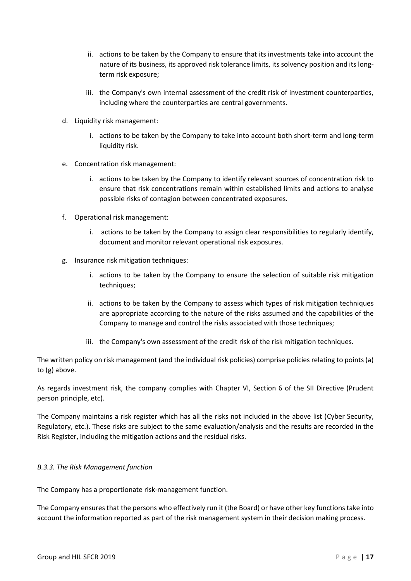- ii. actions to be taken by the Company to ensure that its investments take into account the nature of its business, its approved risk tolerance limits, its solvency position and its longterm risk exposure;
- iii. the Company's own internal assessment of the credit risk of investment counterparties, including where the counterparties are central governments.
- d. Liquidity risk management:
	- i. actions to be taken by the Company to take into account both short-term and long-term liquidity risk.
- e. Concentration risk management:
	- i. actions to be taken by the Company to identify relevant sources of concentration risk to ensure that risk concentrations remain within established limits and actions to analyse possible risks of contagion between concentrated exposures.
- f. Operational risk management:
	- i. actions to be taken by the Company to assign clear responsibilities to regularly identify, document and monitor relevant operational risk exposures.
- g. Insurance risk mitigation techniques:
	- i. actions to be taken by the Company to ensure the selection of suitable risk mitigation techniques;
	- ii. actions to be taken by the Company to assess which types of risk mitigation techniques are appropriate according to the nature of the risks assumed and the capabilities of the Company to manage and control the risks associated with those techniques;
	- iii. the Company's own assessment of the credit risk of the risk mitigation techniques.

The written policy on risk management (and the individual risk policies) comprise policies relating to points (a) to (g) above.

As regards investment risk, the company complies with Chapter VI, Section 6 of the SII Directive (Prudent person principle, etc).

The Company maintains a risk register which has all the risks not included in the above list (Cyber Security, Regulatory, etc.). These risks are subject to the same evaluation/analysis and the results are recorded in the Risk Register, including the mitigation actions and the residual risks.

#### *B.3.3. The Risk Management function*

The Company has a proportionate risk-management function.

The Company ensures that the persons who effectively run it (the Board) or have other key functions take into account the information reported as part of the risk management system in their decision making process.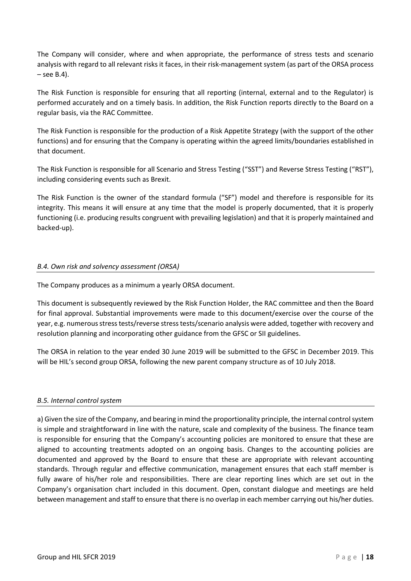The Company will consider, where and when appropriate, the performance of stress tests and scenario analysis with regard to all relevant risks it faces, in their risk-management system (as part of the ORSA process  $-$  see B.4).

The Risk Function is responsible for ensuring that all reporting (internal, external and to the Regulator) is performed accurately and on a timely basis. In addition, the Risk Function reports directly to the Board on a regular basis, via the RAC Committee.

The Risk Function is responsible for the production of a Risk Appetite Strategy (with the support of the other functions) and for ensuring that the Company is operating within the agreed limits/boundaries established in that document.

The Risk Function is responsible for all Scenario and Stress Testing ("SST") and Reverse Stress Testing ("RST"), including considering events such as Brexit.

The Risk Function is the owner of the standard formula ("SF") model and therefore is responsible for its integrity. This means it will ensure at any time that the model is properly documented, that it is properly functioning (i.e. producing results congruent with prevailing legislation) and that it is properly maintained and backed-up).

#### <span id="page-17-0"></span>*B.4. Own risk and solvency assessment (ORSA)*

The Company produces as a minimum a yearly ORSA document.

This document is subsequently reviewed by the Risk Function Holder, the RAC committee and then the Board for final approval. Substantial improvements were made to this document/exercise over the course of the year, e.g. numerous stress tests/reverse stress tests/scenario analysis were added, together with recovery and resolution planning and incorporating other guidance from the GFSC or SII guidelines.

The ORSA in relation to the year ended 30 June 2019 will be submitted to the GFSC in December 2019. This will be HIL's second group ORSA, following the new parent company structure as of 10 July 2018.

#### <span id="page-17-1"></span>*B.5. Internal control system*

a) Given the size of the Company, and bearing in mind the proportionality principle, the internal control system is simple and straightforward in line with the nature, scale and complexity of the business. The finance team is responsible for ensuring that the Company's accounting policies are monitored to ensure that these are aligned to accounting treatments adopted on an ongoing basis. Changes to the accounting policies are documented and approved by the Board to ensure that these are appropriate with relevant accounting standards. Through regular and effective communication, management ensures that each staff member is fully aware of his/her role and responsibilities. There are clear reporting lines which are set out in the Company's organisation chart included in this document. Open, constant dialogue and meetings are held between management and staff to ensure that there is no overlap in each member carrying out his/her duties.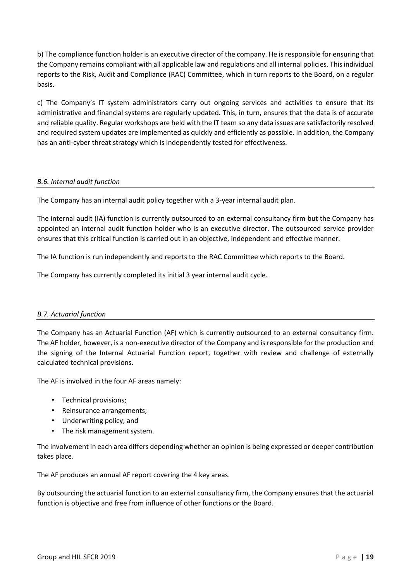b) The compliance function holder is an executive director of the company. He is responsible for ensuring that the Company remains compliant with all applicable law and regulations and all internal policies. This individual reports to the Risk, Audit and Compliance (RAC) Committee, which in turn reports to the Board, on a regular basis.

c) The Company's IT system administrators carry out ongoing services and activities to ensure that its administrative and financial systems are regularly updated. This, in turn, ensures that the data is of accurate and reliable quality. Regular workshops are held with the IT team so any data issues are satisfactorily resolved and required system updates are implemented as quickly and efficiently as possible. In addition, the Company has an anti-cyber threat strategy which is independently tested for effectiveness.

#### <span id="page-18-0"></span>*B.6. Internal audit function*

The Company has an internal audit policy together with a 3-year internal audit plan.

The internal audit (IA) function is currently outsourced to an external consultancy firm but the Company has appointed an internal audit function holder who is an executive director. The outsourced service provider ensures that this critical function is carried out in an objective, independent and effective manner.

The IA function is run independently and reports to the RAC Committee which reports to the Board.

<span id="page-18-1"></span>The Company has currently completed its initial 3 year internal audit cycle.

#### *B.7. Actuarial function*

The Company has an Actuarial Function (AF) which is currently outsourced to an external consultancy firm. The AF holder, however, is a non-executive director of the Company and is responsible for the production and the signing of the Internal Actuarial Function report, together with review and challenge of externally calculated technical provisions.

The AF is involved in the four AF areas namely:

- Technical provisions;
- Reinsurance arrangements;
- Underwriting policy; and
- The risk management system.

The involvement in each area differs depending whether an opinion is being expressed or deeper contribution takes place.

The AF produces an annual AF report covering the 4 key areas.

By outsourcing the actuarial function to an external consultancy firm, the Company ensures that the actuarial function is objective and free from influence of other functions or the Board.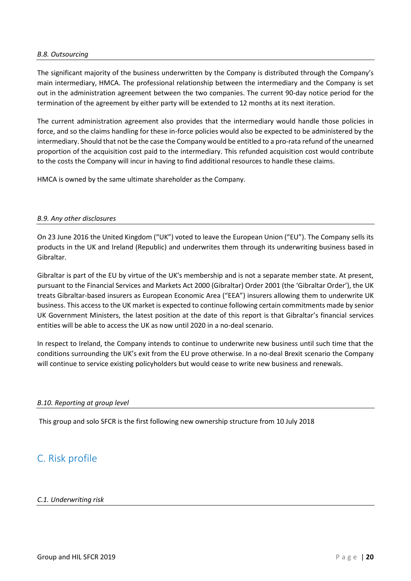#### <span id="page-19-0"></span>*B.8. Outsourcing*

The significant majority of the business underwritten by the Company is distributed through the Company's main intermediary, HMCA. The professional relationship between the intermediary and the Company is set out in the administration agreement between the two companies. The current 90-day notice period for the termination of the agreement by either party will be extended to 12 months at its next iteration.

The current administration agreement also provides that the intermediary would handle those policies in force, and so the claims handling for these in-force policies would also be expected to be administered by the intermediary. Should that not be the case the Company would be entitled to a pro-rata refund of the unearned proportion of the acquisition cost paid to the intermediary. This refunded acquisition cost would contribute to the costs the Company will incur in having to find additional resources to handle these claims.

<span id="page-19-1"></span>HMCA is owned by the same ultimate shareholder as the Company.

#### *B.9. Any other disclosures*

On 23 June 2016 the United Kingdom ("UK") voted to leave the European Union ("EU"). The Company sells its products in the UK and Ireland (Republic) and underwrites them through its underwriting business based in Gibraltar.

Gibraltar is part of the EU by virtue of the UK's membership and is not a separate member state. At present, pursuant to the Financial Services and Markets Act 2000 (Gibraltar) Order 2001 (the 'Gibraltar Order'), the UK treats Gibraltar-based insurers as European Economic Area ("EEA") insurers allowing them to underwrite UK business. This access to the UK market is expected to continue following certain commitments made by senior UK Government Ministers, the latest position at the date of this report is that Gibraltar's financial services entities will be able to access the UK as now until 2020 in a no-deal scenario.

In respect to Ireland, the Company intends to continue to underwrite new business until such time that the conditions surrounding the UK's exit from the EU prove otherwise. In a no-deal Brexit scenario the Company will continue to service existing policyholders but would cease to write new business and renewals.

#### <span id="page-19-2"></span>*B.10. Reporting at group level*

This group and solo SFCR is the first following new ownership structure from 10 July 2018

#### <span id="page-19-4"></span><span id="page-19-3"></span>C. Risk profile

#### *C.1. Underwriting risk*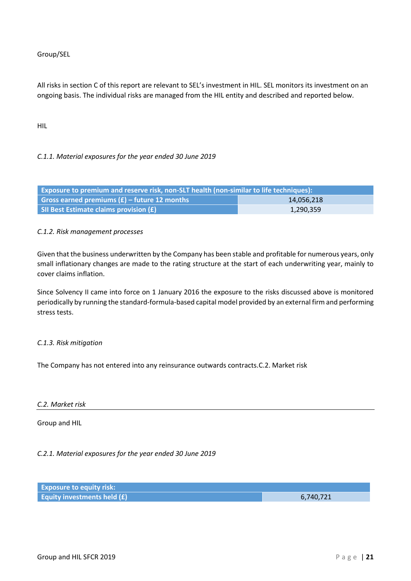Group/SEL

All risks in section C of this report are relevant to SEL's investment in HIL. SEL monitors its investment on an ongoing basis. The individual risks are managed from the HIL entity and described and reported below.

HIL

#### *C.1.1. Material exposures for the year ended 30 June 2019*

| Exposure to premium and reserve risk, non-SLT health (non-similar to life techniques): |  |  |
|----------------------------------------------------------------------------------------|--|--|
| Gross earned premiums $(E)$ – future 12 months<br>14,056,218                           |  |  |
| SII Best Estimate claims provision (£)<br>1,290,359                                    |  |  |

#### *C.1.2. Risk management processes*

Given that the business underwritten by the Company has been stable and profitable for numerous years, only small inflationary changes are made to the rating structure at the start of each underwriting year, mainly to cover claims inflation.

Since Solvency II came into force on 1 January 2016 the exposure to the risks discussed above is monitored periodically by running the standard-formula-based capital model provided by an external firm and performing stress tests.

#### *C.1.3. Risk mitigation*

<span id="page-20-0"></span>The Company has not entered into any reinsurance outwards contracts.C.2. Market risk

#### *C.2. Market risk*

Group and HIL

#### *C.2.1. Material exposures for the year ended 30 June 2019*

| <b>Exposure to equity risk:</b>    |           |
|------------------------------------|-----------|
| <b>Equity investments held (£)</b> | 6,740,721 |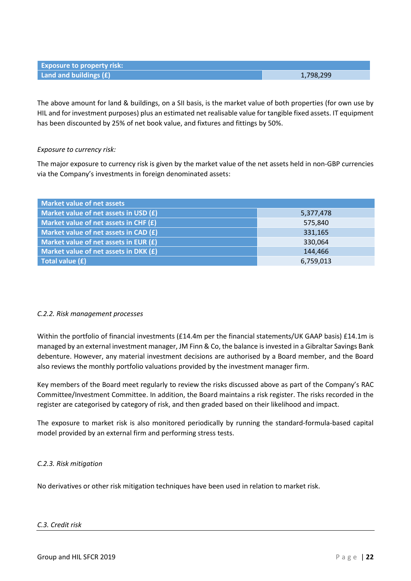**Land and buildings (£)** 1,798,299

The above amount for land & buildings, on a SII basis, is the market value of both properties (for own use by HIL and for investment purposes) plus an estimated net realisable value for tangible fixed assets. IT equipment has been discounted by 25% of net book value, and fixtures and fittings by 50%.

#### *Exposure to currency risk:*

**Exposure to property risk:**

The major exposure to currency risk is given by the market value of the net assets held in non-GBP currencies via the Company's investments in foreign denominated assets:

| Market value of net assets              |           |  |
|-----------------------------------------|-----------|--|
| Market value of net assets in USD (£)   | 5,377,478 |  |
| Market value of net assets in CHF $(f)$ | 575,840   |  |
| Market value of net assets in $CAD (f)$ | 331,165   |  |
| Market value of net assets in EUR $(f)$ | 330,064   |  |
| Market value of net assets in DKK $(f)$ | 144,466   |  |
| Total value (£)                         | 6,759,013 |  |

#### *C.2.2. Risk management processes*

Within the portfolio of financial investments (£14.4m per the financial statements/UK GAAP basis) £14.1m is managed by an external investment manager, JM Finn & Co, the balance is invested in a Gibraltar Savings Bank debenture. However, any material investment decisions are authorised by a Board member, and the Board also reviews the monthly portfolio valuations provided by the investment manager firm.

Key members of the Board meet regularly to review the risks discussed above as part of the Company's RAC Committee/Investment Committee. In addition, the Board maintains a risk register. The risks recorded in the register are categorised by category of risk, and then graded based on their likelihood and impact.

The exposure to market risk is also monitored periodically by running the standard-formula-based capital model provided by an external firm and performing stress tests.

#### *C.2.3. Risk mitigation*

<span id="page-21-0"></span>No derivatives or other risk mitigation techniques have been used in relation to market risk.

#### *C.3. Credit risk*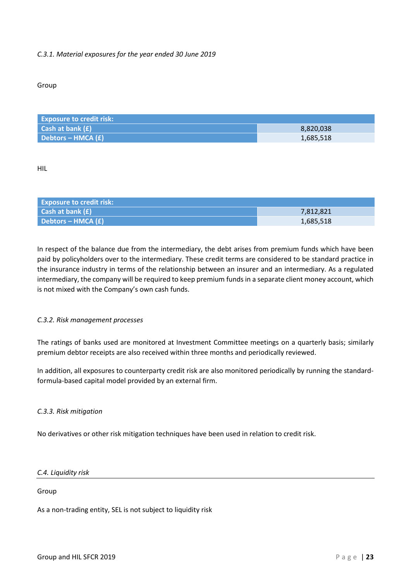#### *C.3.1. Material exposures for the year ended 30 June 2019*

#### Group

| <b>Exposure to credit risk:</b> |           |
|---------------------------------|-----------|
| Cash at bank $(E)$              | 8.820.038 |
| Debtors – HMCA (£)              | 1,685,518 |

HIL

| <b>Exposure to credit risk:</b>      |           |
|--------------------------------------|-----------|
| <b>Cash at bank <math>(f)</math></b> | 7,812,821 |
| Debtors – HMCA (£)                   | 1,685,518 |

In respect of the balance due from the intermediary, the debt arises from premium funds which have been paid by policyholders over to the intermediary. These credit terms are considered to be standard practice in the insurance industry in terms of the relationship between an insurer and an intermediary. As a regulated intermediary, the company will be required to keep premium funds in a separate client money account, which is not mixed with the Company's own cash funds.

#### *C.3.2. Risk management processes*

The ratings of banks used are monitored at Investment Committee meetings on a quarterly basis; similarly premium debtor receipts are also received within three months and periodically reviewed.

In addition, all exposures to counterparty credit risk are also monitored periodically by running the standardformula-based capital model provided by an external firm.

#### *C.3.3. Risk mitigation*

<span id="page-22-0"></span>No derivatives or other risk mitigation techniques have been used in relation to credit risk.

#### *C.4. Liquidity risk*

#### Group

As a non-trading entity, SEL is not subject to liquidity risk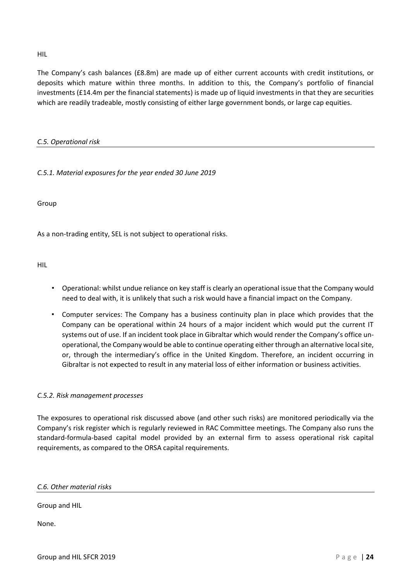HIL

The Company's cash balances (£8.8m) are made up of either current accounts with credit institutions, or deposits which mature within three months. In addition to this, the Company's portfolio of financial investments (£14.4m per the financial statements) is made up of liquid investments in that they are securities which are readily tradeable, mostly consisting of either large government bonds, or large cap equities.

#### <span id="page-23-0"></span>*C.5. Operational risk*

*C.5.1. Material exposures for the year ended 30 June 2019*

Group

As a non-trading entity, SEL is not subject to operational risks.

HIL

- Operational: whilst undue reliance on key staff is clearly an operational issue that the Company would need to deal with, it is unlikely that such a risk would have a financial impact on the Company.
- Computer services: The Company has a business continuity plan in place which provides that the Company can be operational within 24 hours of a major incident which would put the current IT systems out of use. If an incident took place in Gibraltar which would render the Company's office unoperational, the Company would be able to continue operating either through an alternative local site, or, through the intermediary's office in the United Kingdom. Therefore, an incident occurring in Gibraltar is not expected to result in any material loss of either information or business activities.

#### *C.5.2. Risk management processes*

The exposures to operational risk discussed above (and other such risks) are monitored periodically via the Company's risk register which is regularly reviewed in RAC Committee meetings. The Company also runs the standard-formula-based capital model provided by an external firm to assess operational risk capital requirements, as compared to the ORSA capital requirements.

#### <span id="page-23-1"></span>*C.6. Other material risks*

Group and HIL

None.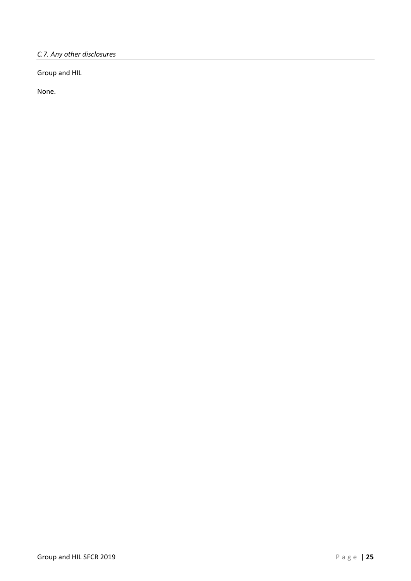<span id="page-24-0"></span>*C.7. Any other disclosures*

Group and HIL

None.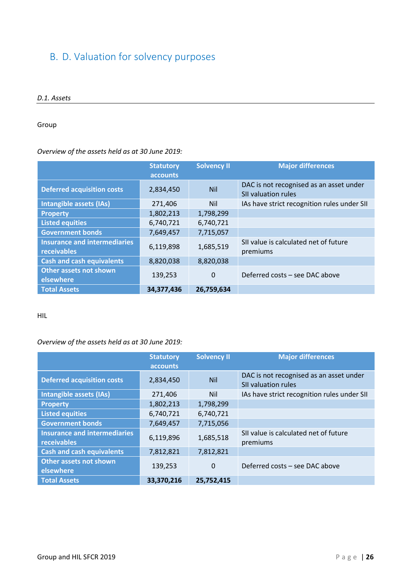#### <span id="page-25-1"></span><span id="page-25-0"></span>B. D. Valuation for solvency purposes

#### *D.1. Assets*

#### Group

#### *Overview of the assets held as at 30 June 2019:*

|                                                    | <b>Statutory</b><br>accounts | <b>Solvency II</b> | <b>Major differences</b>                                              |
|----------------------------------------------------|------------------------------|--------------------|-----------------------------------------------------------------------|
| <b>Deferred acquisition costs</b>                  | 2,834,450                    | <b>Nil</b>         | DAC is not recognised as an asset under<br><b>SII valuation rules</b> |
| Intangible assets (IAs)                            | 271,406                      | <b>Nil</b>         | IAs have strict recognition rules under SII                           |
| <b>Property</b>                                    | 1,802,213                    | 1,798,299          |                                                                       |
| <b>Listed equities</b>                             | 6,740,721                    | 6,740,721          |                                                                       |
| <b>Government bonds</b>                            | 7,649,457                    | 7,715,057          |                                                                       |
| <b>Insurance and intermediaries</b><br>receivables | 6,119,898                    | 1,685,519          | SII value is calculated net of future<br>premiums                     |
| <b>Cash and cash equivalents</b>                   | 8,820,038                    | 8,820,038          |                                                                       |
| Other assets not shown<br>elsewhere                | 139,253                      | $\Omega$           | Deferred costs - see DAC above                                        |
| <b>Total Assets</b>                                | 34,377,436                   | 26,759,634         |                                                                       |

#### HIL

#### *Overview of the assets held as at 30 June 2019:*

|                                                    | <b>Statutory</b><br>accounts | <b>Solvency II</b> | <b>Major differences</b>                                              |
|----------------------------------------------------|------------------------------|--------------------|-----------------------------------------------------------------------|
| <b>Deferred acquisition costs</b>                  | 2,834,450                    | <b>Nil</b>         | DAC is not recognised as an asset under<br><b>SII valuation rules</b> |
| Intangible assets (IAs)                            | 271,406                      | <b>Nil</b>         | IAs have strict recognition rules under SII                           |
| <b>Property</b>                                    | 1,802,213                    | 1,798,299          |                                                                       |
| <b>Listed equities</b>                             | 6,740,721                    | 6,740,721          |                                                                       |
| <b>Government bonds</b>                            | 7,649,457                    | 7,715,056          |                                                                       |
| <b>Insurance and intermediaries</b><br>receivables | 6,119,896                    | 1,685,518          | SII value is calculated net of future<br>premiums                     |
| <b>Cash and cash equivalents</b>                   | 7,812,821                    | 7,812,821          |                                                                       |
| Other assets not shown<br>elsewhere                | 139,253                      | $\Omega$           | Deferred costs - see DAC above                                        |
| <b>Total Assets</b>                                | 33,370,216                   | 25,752,415         |                                                                       |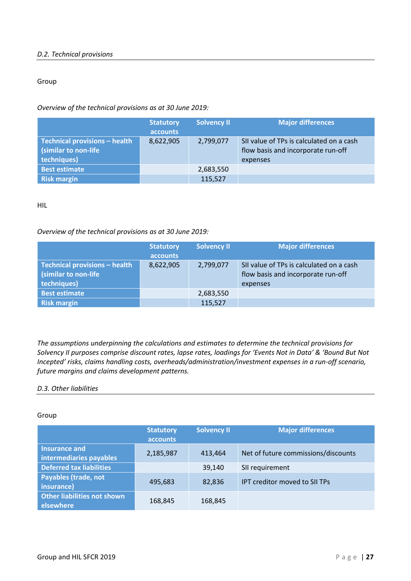#### <span id="page-26-0"></span>*D.2. Technical provisions*

#### Group

*Overview of the technical provisions as at 30 June 2019:*

|                                                                       | <b>Statutory</b><br>accounts | <b>Solvency II</b> | <b>Major differences</b>                                                                   |
|-----------------------------------------------------------------------|------------------------------|--------------------|--------------------------------------------------------------------------------------------|
| Technical provisions - health<br>(similar to non-life)<br>techniques) | 8,622,905                    | 2,799,077          | SII value of TPs is calculated on a cash<br>flow basis and incorporate run-off<br>expenses |
| <b>Best estimate</b>                                                  |                              | 2,683,550          |                                                                                            |
| <b>Risk margin</b>                                                    |                              | 115,527            |                                                                                            |

HIL

#### *Overview of the technical provisions as at 30 June 2019:*

|                                                                      | <b>Statutory</b><br>accounts | <b>Solvency II</b> | <b>Major differences</b>                                                                   |
|----------------------------------------------------------------------|------------------------------|--------------------|--------------------------------------------------------------------------------------------|
| Technical provisions - health<br>(similar to non-life<br>techniques) | 8,622,905                    | 2,799,077          | SII value of TPs is calculated on a cash<br>flow basis and incorporate run-off<br>expenses |
| <b>Best estimate</b>                                                 |                              | 2,683,550          |                                                                                            |
| <b>Risk margin</b>                                                   |                              | 115,527            |                                                                                            |

*The assumptions underpinning the calculations and estimates to determine the technical provisions for Solvency II purposes comprise discount rates, lapse rates, loadings for 'Events Not in Data' & 'Bound But Not Incepted' risks, claims handling costs, overheads/administration/investment expenses in a run-off scenario, future margins and claims development patterns.*

#### <span id="page-26-1"></span>*D.3. Other liabilities*

#### Group

|                                                 | <b>Statutory</b><br><b>accounts</b> | <b>Solvency II</b> | <b>Major differences</b>            |
|-------------------------------------------------|-------------------------------------|--------------------|-------------------------------------|
| Insurance and<br>intermediaries payables        | 2,185,987                           | 413.464            | Net of future commissions/discounts |
| <b>Deferred tax liabilities</b>                 |                                     | 39,140             | SII requirement                     |
| <b>Payables (trade, not</b><br>insurance)       | 495,683                             | 82,836             | IPT creditor moved to SII TPs       |
| <b>Other liabilities not shown</b><br>elsewhere | 168,845                             | 168,845            |                                     |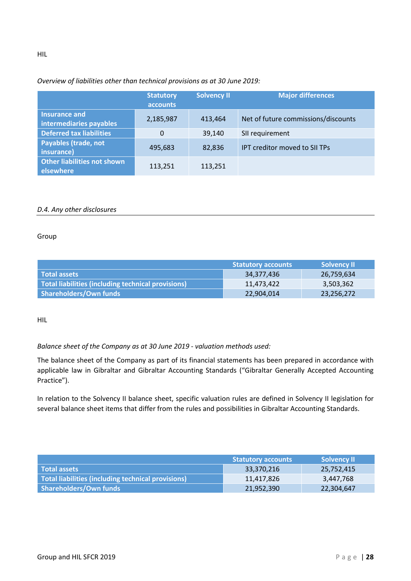#### *Overview of liabilities other than technical provisions as at 30 June 2019:*

|                                                 | <b>Statutory</b><br><b>accounts</b> | <b>Solvency II</b> | <b>Major differences</b>            |
|-------------------------------------------------|-------------------------------------|--------------------|-------------------------------------|
| Insurance and<br>intermediaries payables        | 2,185,987                           | 413,464            | Net of future commissions/discounts |
| <b>Deferred tax liabilities</b>                 | $\Omega$                            | 39,140             | SII requirement                     |
| <b>Payables (trade, not</b><br>insurance)       | 495,683                             | 82,836             | IPT creditor moved to SII TPs       |
| <b>Other liabilities not shown</b><br>elsewhere | 113,251                             | 113,251            |                                     |

#### <span id="page-27-0"></span>*D.4. Any other disclosures*

#### Group

|                                                    | <b>Statutory accounts</b> | <b>Solvency II</b> |
|----------------------------------------------------|---------------------------|--------------------|
| Total assets                                       | 34,377,436                | 26,759,634         |
| Total liabilities (including technical provisions) | 11,473,422                | 3,503,362          |
| Shareholders/Own funds                             | 22,904,014                | 23,256,272         |

#### HIL

#### *Balance sheet of the Company as at 30 June 2019 - valuation methods used:*

The balance sheet of the Company as part of its financial statements has been prepared in accordance with applicable law in Gibraltar and Gibraltar Accounting Standards ("Gibraltar Generally Accepted Accounting Practice").

In relation to the Solvency II balance sheet, specific valuation rules are defined in Solvency II legislation for several balance sheet items that differ from the rules and possibilities in Gibraltar Accounting Standards.

|                                                    | <b>Statutory accounts</b> | <b>Solvency II</b> |
|----------------------------------------------------|---------------------------|--------------------|
| <b>Total assets</b>                                | 33,370,216                | 25,752,415         |
| Total liabilities (including technical provisions) | 11,417,826                | 3,447,768          |
| Shareholders/Own funds                             | 21,952,390                | 22,304,647         |

HIL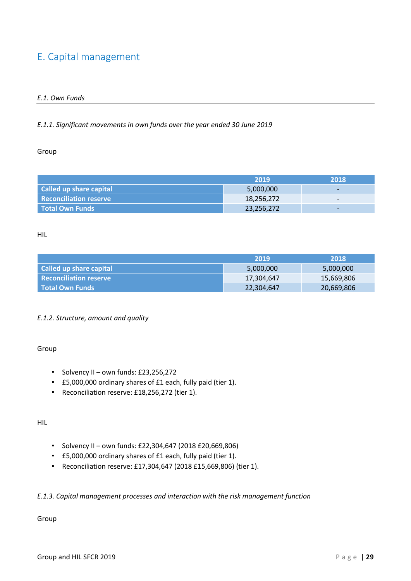#### <span id="page-28-1"></span><span id="page-28-0"></span>E. Capital management

#### *E.1. Own Funds*

#### *E.1.1. Significant movements in own funds over the year ended 30 June 2019*

#### Group

|                               | 2019       | 2018                     |
|-------------------------------|------------|--------------------------|
| Called up share capital       | 5,000,000  | $\overline{\phantom{0}}$ |
| <b>Reconciliation reserve</b> | 18,256,272 | $\overline{\phantom{0}}$ |
| <b>Total Own Funds</b>        | 23,256,272 | $\overline{\phantom{0}}$ |

#### HIL

|                               | -2019      | 2018       |
|-------------------------------|------------|------------|
| Called up share capital       | 5,000,000  | 5,000,000  |
| <b>Reconciliation reserve</b> | 17,304,647 | 15,669,806 |
| l Total Own Funds             | 22,304,647 | 20,669,806 |

#### *E.1.2. Structure, amount and quality*

#### Group

- Solvency II own funds: £23,256,272
- £5,000,000 ordinary shares of £1 each, fully paid (tier 1).
- Reconciliation reserve: £18,256,272 (tier 1).

#### HIL

- Solvency II own funds: £22,304,647 (2018 £20,669,806)
- £5,000,000 ordinary shares of £1 each, fully paid (tier 1).
- Reconciliation reserve: £17,304,647 (2018 £15,669,806) (tier 1).

#### *E.1.3. Capital management processes and interaction with the risk management function*

#### Group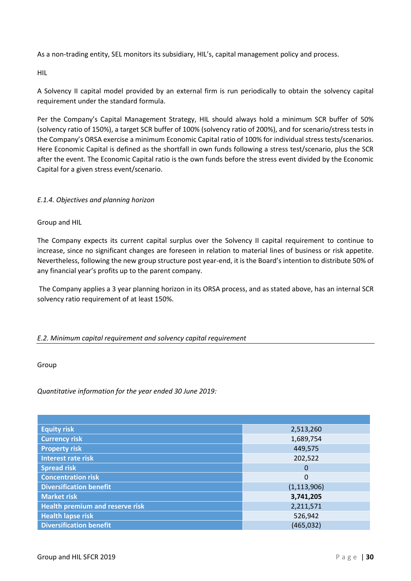As a non-trading entity, SEL monitors its subsidiary, HIL's, capital management policy and process.

HIL

A Solvency II capital model provided by an external firm is run periodically to obtain the solvency capital requirement under the standard formula.

Per the Company's Capital Management Strategy, HIL should always hold a minimum SCR buffer of 50% (solvency ratio of 150%), a target SCR buffer of 100% (solvency ratio of 200%), and for scenario/stress tests in the Company's ORSA exercise a minimum Economic Capital ratio of 100% for individual stress tests/scenarios. Here Economic Capital is defined as the shortfall in own funds following a stress test/scenario, plus the SCR after the event. The Economic Capital ratio is the own funds before the stress event divided by the Economic Capital for a given stress event/scenario.

#### *E.1.4. Objectives and planning horizon*

Group and HIL

The Company expects its current capital surplus over the Solvency II capital requirement to continue to increase, since no significant changes are foreseen in relation to material lines of business or risk appetite. Nevertheless, following the new group structure post year-end, it is the Board's intention to distribute 50% of any financial year's profits up to the parent company.

The Company applies a 3 year planning horizon in its ORSA process, and as stated above, has an internal SCR solvency ratio requirement of at least 150%.

#### <span id="page-29-0"></span>*E.2. Minimum capital requirement and solvency capital requirement*

Group

*Quantitative information for the year ended 30 June 2019:*

| <b>Equity risk</b>                     | 2,513,260     |
|----------------------------------------|---------------|
| Currency risk                          | 1,689,754     |
| <b>Property risk</b>                   | 449,575       |
| <b>Interest rate risk</b>              | 202,522       |
| <b>Spread risk</b>                     | 0             |
| <b>Concentration risk</b>              | $\mathbf 0$   |
| <b>Diversification benefit</b>         | (1, 113, 906) |
| <b>Market risk</b>                     | 3,741,205     |
| <b>Health premium and reserve risk</b> | 2,211,571     |
| <b>Health lapse risk</b>               | 526,942       |
| <b>Diversification benefit</b>         | (465, 032)    |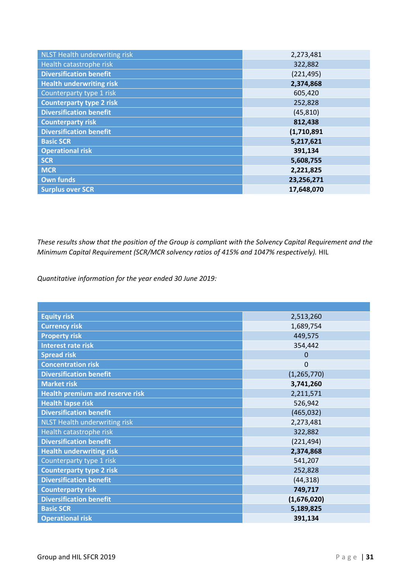| NLST Health underwriting risk   | 2,273,481   |
|---------------------------------|-------------|
| Health catastrophe risk         | 322,882     |
| <b>Diversification benefit</b>  | (221, 495)  |
| <b>Health underwriting risk</b> | 2,374,868   |
| Counterparty type 1 risk        | 605,420     |
| <b>Counterparty type 2 risk</b> | 252,828     |
| <b>Diversification benefit</b>  | (45, 810)   |
| <b>Counterparty risk</b>        | 812,438     |
| <b>Diversification benefit</b>  | (1,710,891) |
| <b>Basic SCR</b>                | 5,217,621   |
| <b>Operational risk</b>         | 391,134     |
| <b>SCR</b>                      | 5,608,755   |
| <b>MCR</b>                      | 2,221,825   |
| <b>Own funds</b>                | 23,256,271  |
| <b>Surplus over SCR</b>         | 17,648,070  |

*These results show that the position of the Group is compliant with the Solvency Capital Requirement and the Minimum Capital Requirement (SCR/MCR solvency ratios of 415% and 1047% respectively).* HIL

*Quantitative information for the year ended 30 June 2019:*

| <b>Equity risk</b>                     | 2,513,260      |
|----------------------------------------|----------------|
| <b>Currency risk</b>                   | 1,689,754      |
| <b>Property risk</b>                   | 449,575        |
| <b>Interest rate risk</b>              | 354,442        |
| <b>Spread risk</b>                     | $\Omega$       |
| <b>Concentration risk</b>              | $\overline{0}$ |
| <b>Diversification benefit</b>         | (1, 265, 770)  |
| <b>Market risk</b>                     | 3,741,260      |
| <b>Health premium and reserve risk</b> | 2,211,571      |
| <b>Health lapse risk</b>               | 526,942        |
| <b>Diversification benefit</b>         | (465, 032)     |
| NLST Health underwriting risk          | 2,273,481      |
| Health catastrophe risk                | 322,882        |
| <b>Diversification benefit</b>         | (221, 494)     |
| <b>Health underwriting risk</b>        | 2,374,868      |
| Counterparty type 1 risk               | 541,207        |
| <b>Counterparty type 2 risk</b>        | 252,828        |
| <b>Diversification benefit</b>         | (44, 318)      |
| <b>Counterparty risk</b>               | 749,717        |
| <b>Diversification benefit</b>         | (1,676,020)    |
| <b>Basic SCR</b>                       | 5,189,825      |
| <b>Operational risk</b>                | 391,134        |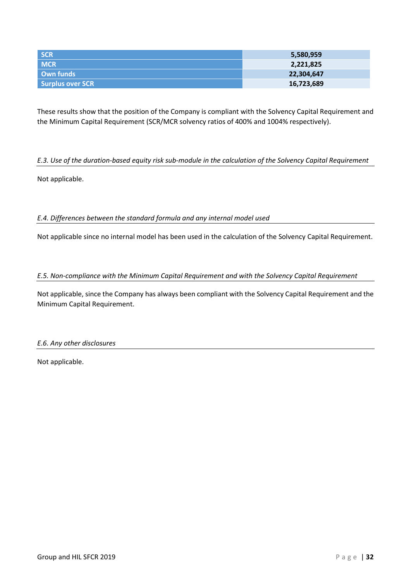| <b>SCR</b>       | 5,580,959  |
|------------------|------------|
| <b>MCR</b>       | 2,221,825  |
| Own funds        | 22,304,647 |
| Surplus over SCR | 16,723,689 |

These results show that the position of the Company is compliant with the Solvency Capital Requirement and the Minimum Capital Requirement (SCR/MCR solvency ratios of 400% and 1004% respectively).

#### <span id="page-31-0"></span>*E.3. Use of the duration-based equity risk sub-module in the calculation of the Solvency Capital Requirement*

<span id="page-31-1"></span>Not applicable.

#### *E.4. Differences between the standard formula and any internal model used*

<span id="page-31-2"></span>Not applicable since no internal model has been used in the calculation of the Solvency Capital Requirement.

#### *E.5. Non-compliance with the Minimum Capital Requirement and with the Solvency Capital Requirement*

Not applicable, since the Company has always been compliant with the Solvency Capital Requirement and the Minimum Capital Requirement.

#### <span id="page-31-3"></span>*E.6. Any other disclosures*

Not applicable.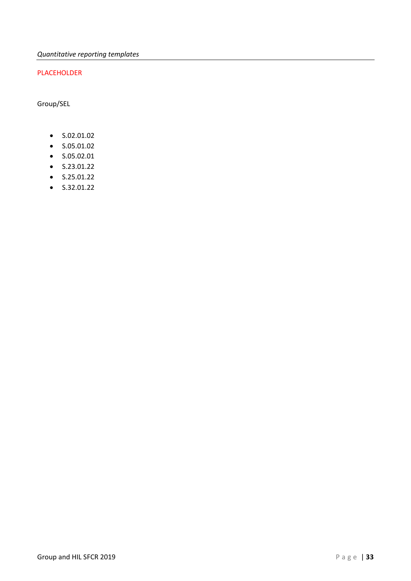#### PLACEHOLDER

Group/SEL

- S.02.01.02
- S.05.01.02
- S.05.02.01
- S.23.01.22
- S.25.01.22
- S.32.01.22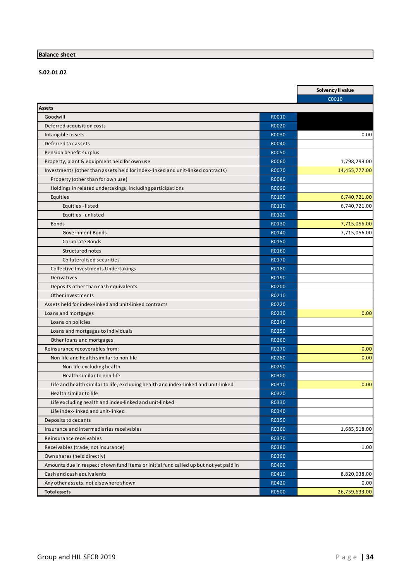#### **Balance sheet**

**S.02.01.02**

|                                                                                        |              | Solvency II value |
|----------------------------------------------------------------------------------------|--------------|-------------------|
|                                                                                        |              | C0010             |
| <b>Assets</b>                                                                          |              |                   |
| Goodwill                                                                               | R0010        |                   |
| Deferred acquisition costs                                                             | R0020        |                   |
| Intangible assets                                                                      | <b>RO030</b> | 0.00              |
| Deferred tax assets                                                                    | R0040        |                   |
| Pension benefit surplus                                                                | <b>R0050</b> |                   |
| Property, plant & equipment held for own use                                           | <b>R0060</b> | 1,798,299.00      |
| Investments (other than assets held for index-linked and unit-linked contracts)        | <b>R0070</b> | 14,455,777.00     |
| Property (other than for own use)                                                      | <b>RO080</b> |                   |
| Holdings in related undertakings, including participations                             | R0090        |                   |
| Equities                                                                               | R0100        | 6,740,721.00      |
| Equities - listed                                                                      | R0110        | 6,740,721.00      |
| Equities - unlisted                                                                    | R0120        |                   |
| <b>Bonds</b>                                                                           | R0130        | 7,715,056.00      |
| <b>Government Bonds</b>                                                                | R0140        | 7,715,056.00      |
| Corporate Bonds                                                                        | R0150        |                   |
| Structured notes                                                                       | R0160        |                   |
| <b>Collateralised securities</b>                                                       | R0170        |                   |
| Collective Investments Undertakings                                                    | R0180        |                   |
| Derivatives                                                                            | R0190        |                   |
| Deposits other than cash equivalents                                                   | R0200        |                   |
| Other investments                                                                      | R0210        |                   |
| Assets held for index-linked and unit-linked contracts                                 | R0220        |                   |
| Loans and mortgages                                                                    | R0230        | 0.00              |
| Loans on policies                                                                      | R0240        |                   |
| Loans and mortgages to individuals                                                     | R0250        |                   |
| Other loans and mortgages                                                              | R0260        |                   |
| Reinsurance recoverables from:                                                         | R0270        | 0.00              |
| Non-life and health similar to non-life                                                | R0280        | 0.00              |
| Non-life excluding health                                                              | R0290        |                   |
| Health similar to non-life                                                             | R0300        |                   |
| Life and health similar to life, excluding health and index-linked and unit-linked     | R0310        | 0.00              |
| Health similar to life                                                                 | R0320        |                   |
| Life excluding health and index-linked and unit-linked                                 | R0330        |                   |
| Life index-linked and unit-linked                                                      | R0340        |                   |
| Deposits to cedants                                                                    | R0350        |                   |
| Insurance and intermediaries receivables                                               | R0360        | 1,685,518.00      |
| Reinsurance receivables                                                                | R0370        |                   |
| Receivables (trade, not insurance)                                                     | R0380        | 1.00              |
| Own shares (held directly)                                                             | R0390        |                   |
| Amounts due in respect of own fund items or initial fund called up but not yet paid in |              |                   |
|                                                                                        | R0400        |                   |
| Cash and cash equivalents                                                              | R0410        | 8,820,038.00      |
| Any other assets, not elsewhere shown                                                  | R0420        | 0.00              |
| <b>Total assets</b>                                                                    | R0500        | 26,759,633.00     |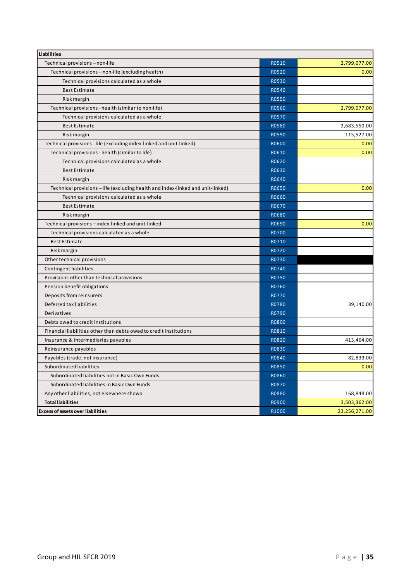| <b>Liabilities</b>                                                              |              |               |
|---------------------------------------------------------------------------------|--------------|---------------|
| Technical provisions - non-life                                                 | R0510        | 2,799,077.00  |
| Technical provisions - non-life (excluding health)                              | R0520        | 0.00          |
| Technical provisions calculated as a whole                                      | R0530        |               |
| <b>Best Estimate</b>                                                            | R0540        |               |
| Risk margin                                                                     | R0550        |               |
| Technical provisions - health (similar to non-life)                             | R0560        | 2,799,077.00  |
| Technical provisions calculated as a whole                                      | R0570        |               |
| <b>Best Estimate</b>                                                            | R0580        | 2,683,550.00  |
| Risk margin                                                                     | R0590        | 115,527.00    |
| Technical provisions - life (excluding index-linked and unit-linked)            | R0600        | 0.00          |
| Technical provisions - health (similar to life)                                 | R0610        | 0.00          |
| Technical provisions calculated as a whole                                      | R0620        |               |
| <b>Best Estimate</b>                                                            | R0630        |               |
| Risk margin                                                                     | R0640        |               |
| Technical provisions - life (excluding health and index-linked and unit-linked) | R0650        | 0.00          |
| Technical provisions calculated as a whole                                      | R0660        |               |
| <b>Best Estimate</b>                                                            | R0670        |               |
| Risk margin                                                                     | R0680        |               |
| Technical provisions - index-linked and unit-linked                             | R0690        | 0.00          |
| Technical provisions calculated as a whole                                      | R0700        |               |
| <b>Best Estimate</b>                                                            | R0710        |               |
| Risk margin                                                                     | R0720        |               |
| Other technical provisions                                                      | R0730        |               |
| Contingent liabilities                                                          | R0740        |               |
| Provisions other than technical provisions                                      | R0750        |               |
| Pension benefit obligations                                                     | R0760        |               |
| Deposits from reinsurers                                                        | R0770        |               |
| Deferred tax liabilities                                                        | R0780        | 39,140.00     |
| Derivatives                                                                     | R0790        |               |
| Debts owed to credit institutions                                               | <b>R0800</b> |               |
| Financial liabilities other than debts owed to credit institutions              | R0810        |               |
| Insurance & intermediaries payables                                             | R0820        | 413,464.00    |
| Reinsurance payables                                                            | R0830        |               |
| Payables (trade, not insurance)                                                 | R0840        | 82,833.00     |
| Subordinated liabilities                                                        | R0850        | 0.00          |
| Subordinated liabilities not in Basic Own Funds                                 | R0860        |               |
| Subordinated liabilities in Basic Own Funds                                     | R0870        |               |
| Any other liabilities, not elsewhere shown                                      | R0880        | 168,848.00    |
| <b>Total liabilities</b>                                                        | R0900        | 3,503,362.00  |
| <b>Excess of assets over liabilities</b>                                        | R1000        | 23,256,271.00 |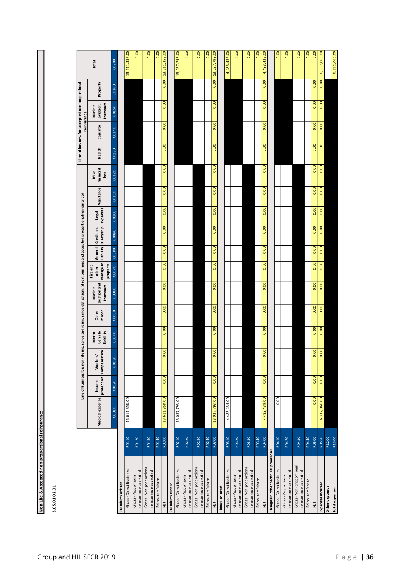| einsurai                     |  |
|------------------------------|--|
|                              |  |
|                              |  |
|                              |  |
|                              |  |
|                              |  |
|                              |  |
| Accepted non-proportional re |  |
|                              |  |
|                              |  |
|                              |  |
| on-Life & A                  |  |
|                              |  |

**S.05.01.02.01**

|                                                |       |                 |        | Line of Business for: non-life insurance and reinsurance obligations (direct business and accepted proportional reinsurance) |                               |                |                                      |                                            |                    |                               |       |            |                           |        | Line of business for: accepted non-proportional<br>reinsurance |                                   |          |               |
|------------------------------------------------|-------|-----------------|--------|------------------------------------------------------------------------------------------------------------------------------|-------------------------------|----------------|--------------------------------------|--------------------------------------------|--------------------|-------------------------------|-------|------------|---------------------------|--------|----------------------------------------------------------------|-----------------------------------|----------|---------------|
|                                                |       | Medical expense | Income | protection compensation<br>Workers'                                                                                          | vehicle<br>liability<br>Motor | Other<br>motor | aviation and<br>transport<br>Marine, | damage to<br>property<br>Fire and<br>other | General Credit and | liability suretyship expenses | Legal | Assistance | financial<br>Misc<br>loss | Health | Casualty                                                       | transport<br>aviation,<br>Marine, | Property | Total         |
|                                                |       | C0010           | C0020  | C0030                                                                                                                        | C0040                         | C0050          | C0060                                | C0070                                      | C0080              | C0090                         | C0100 | C0110      | C0120                     | C0130  | C0140                                                          | C0150                             | C0160    | C0200         |
| Premiums written                               |       |                 |        |                                                                                                                              |                               |                |                                      |                                            |                    |                               |       |            |                           |        |                                                                |                                   |          |               |
| Gross-Direct Business                          | R0110 | 13,611,358.00   |        |                                                                                                                              |                               |                |                                      |                                            |                    |                               |       |            |                           |        |                                                                |                                   |          | 13,611,358.00 |
| reinsurance accepted<br>Gross-Proportional     | R0120 |                 |        |                                                                                                                              |                               |                |                                      |                                            |                    |                               |       |            |                           |        |                                                                |                                   |          | 0.00          |
| Gross-Non-proportional<br>reinsurance accepted | R0130 |                 |        |                                                                                                                              |                               |                |                                      |                                            |                    |                               |       |            |                           |        |                                                                |                                   |          | 0.00          |
| Reinsurers' share                              | R0140 |                 |        |                                                                                                                              |                               |                |                                      |                                            |                    |                               |       |            |                           |        |                                                                |                                   |          | 0.00          |
| Net                                            | R0200 | 13,611,358.00   | 0.00   | $\overline{6}$<br>$\mathbf{c}$                                                                                               | 0.00                          | 0.00           | 0.00                                 | 0.00                                       | 0.00               | 0.00                          | 0.00  | 0.00       | 0.00                      | 0.00   | 0.00                                                           | 0.00                              | 0.00     | 13,611,358.00 |
| Premiumsearned                                 |       |                 |        |                                                                                                                              |                               |                |                                      |                                            |                    |                               |       |            |                           |        |                                                                |                                   |          |               |
| Gross-Direct Business                          | R0210 | 13,037,793.00   |        |                                                                                                                              |                               |                |                                      |                                            |                    |                               |       |            |                           |        |                                                                |                                   |          | 13,037,793.00 |
| reinsurance accepted<br>Gross-Proportional     | R0220 |                 |        |                                                                                                                              |                               |                |                                      |                                            |                    |                               |       |            |                           |        |                                                                |                                   |          | 0.00          |
| Gross-Non-proportional<br>reinsurance accepted | R0230 |                 |        |                                                                                                                              |                               |                |                                      |                                            |                    |                               |       |            |                           |        |                                                                |                                   |          | 0.00          |
| Reinsurers' share                              | R0240 |                 |        |                                                                                                                              |                               |                |                                      |                                            |                    |                               |       |            |                           |        |                                                                |                                   |          | 0.00          |
| Net                                            | R0300 | 13,037,793.00   | 0.00   | $\mathbf{e}$<br>o                                                                                                            | 0.00                          | 0.00           | 0.00                                 | 0.00                                       | 0.00               | 0.00                          | 0.00  | 0.00       | 0.00                      | 0.00   | 0.00                                                           | 0.00                              | 0.00     | 13,037,793.00 |
| Claimsincurred                                 |       |                 |        |                                                                                                                              |                               |                |                                      |                                            |                    |                               |       |            |                           |        |                                                                |                                   |          |               |
| Gross-Direct Business                          | R0310 | 4,483,439.00    |        |                                                                                                                              |                               |                |                                      |                                            |                    |                               |       |            |                           |        |                                                                |                                   |          | 4,483,439.00  |
| reinsurance accepted<br>Gross-Proportional     | R0320 |                 |        |                                                                                                                              |                               |                |                                      |                                            |                    |                               |       |            |                           |        |                                                                |                                   |          | 0.00          |
| Gross-Non-proportional                         | R0330 |                 |        |                                                                                                                              |                               |                |                                      |                                            |                    |                               |       |            |                           |        |                                                                |                                   |          | 0.00          |
| reinsurance accepted<br>Reinsurers' share      | R0340 |                 |        |                                                                                                                              |                               |                |                                      |                                            |                    |                               |       |            |                           |        |                                                                |                                   |          | 0.00          |
| Net                                            | R0400 | 4,483,439.00    | 0.00   | 8<br>ö                                                                                                                       | 0.00                          | 0.00           | 0.00                                 | 0.00                                       | 0.00               | 0.00                          | 0.00  | 0.00       | 0.00                      | 0.00   | 0.00                                                           | 0.00                              | 0.00     | 4,483,439.00  |
| Changes in other technical provisions          |       |                 |        |                                                                                                                              |                               |                |                                      |                                            |                    |                               |       |            |                           |        |                                                                |                                   |          |               |
| Gross-Direct Business                          | R0410 | 0.00            |        |                                                                                                                              |                               |                |                                      |                                            |                    |                               |       |            |                           |        |                                                                |                                   |          | 0.00          |
| reinsurance accepted<br>Gross-Proportional     | R0420 |                 |        |                                                                                                                              |                               |                |                                      |                                            |                    |                               |       |            |                           |        |                                                                |                                   |          | 0.00          |
| Gross-Non-proportional<br>reinsurance accepted | R0430 |                 |        |                                                                                                                              |                               |                |                                      |                                            |                    |                               |       |            |                           |        |                                                                |                                   |          | 0.00          |
| Reinsurers'share                               | R0440 |                 |        |                                                                                                                              |                               |                |                                      |                                            |                    |                               |       |            |                           |        |                                                                |                                   |          | 0.00          |
| Net                                            | R0500 | 0.00            | 0.00   | 0.00                                                                                                                         | 0.00                          | 0.00           | 0.00                                 | 0.00                                       | 0.00               | 0.00                          | 0.00  | 0.00       | 0.00                      | 0.00   | 0.00                                                           | 0.00                              | 0.00     | 0.00          |
| Expenses incurred                              | R0550 | 6,332,060.00    | 0.00   | 0.00                                                                                                                         | 0.00                          | 0.00           | 0.00                                 | 0.00                                       | 0.00               | 0.00                          | 0.00  | 0.00       | 0.00                      | 0.00   | 0.00                                                           | 0.00                              | 0.00     | 6,332,060.00  |
| Other expenses                                 | R1200 |                 |        |                                                                                                                              |                               |                |                                      |                                            |                    |                               |       |            |                           |        |                                                                |                                   |          |               |
| Total expenses                                 | R1300 |                 |        |                                                                                                                              |                               |                |                                      |                                            |                    |                               |       |            |                           |        |                                                                |                                   |          | 6,332,060.00  |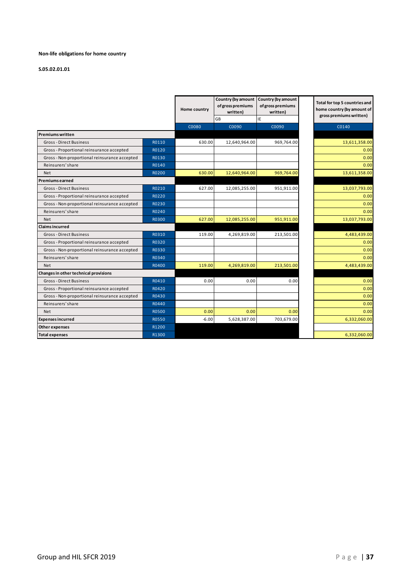#### **Non-life obligations for home country**

#### **S.05.02.01.01**

|                                               |              | Home country | of gross premiums<br>written) | Country (by amount Country (by amount<br>of gross premiums<br>written) | Total for top 5 countries and<br>home country (by amount of<br>gross premiums written) |
|-----------------------------------------------|--------------|--------------|-------------------------------|------------------------------------------------------------------------|----------------------------------------------------------------------------------------|
|                                               |              |              | GB                            | IE                                                                     |                                                                                        |
|                                               |              | C0080        | C0090                         | C0090                                                                  | C0140                                                                                  |
| <b>Premiums written</b>                       |              |              |                               |                                                                        |                                                                                        |
| Gross-Direct Business                         | R0110        | 630.00       | 12,640,964.00                 | 969,764.00                                                             | 13,611,358.00                                                                          |
| Gross - Proportional reinsurance accepted     | R0120        |              |                               |                                                                        | 0.00                                                                                   |
| Gross - Non-proportional reinsurance accepted | R0130        |              |                               |                                                                        | 0.00                                                                                   |
| Reinsurers' share                             | R0140        |              |                               |                                                                        | 0.00                                                                                   |
| <b>Net</b>                                    | R0200        | 630.00       | 12,640,964.00                 | 969,764.00                                                             | 13,611,358.00                                                                          |
| <b>Premiums earned</b>                        |              |              |                               |                                                                        |                                                                                        |
| <b>Gross-Direct Business</b>                  | R0210        | 627.00       | 12,085,255.00                 | 951,911.00                                                             | 13,037,793.00                                                                          |
| Gross-Proportional reinsurance accepted       | R0220        |              |                               |                                                                        | 0.00                                                                                   |
| Gross-Non-proportional reinsurance accepted   | R0230        |              |                               |                                                                        | 0.00                                                                                   |
| Reinsurers' share                             | R0240        |              |                               |                                                                        | 0.00                                                                                   |
| <b>Net</b>                                    | R0300        | 627.00       | 12,085,255.00                 | 951,911.00                                                             | 13,037,793.00                                                                          |
| <b>Claims incurred</b>                        |              |              |                               |                                                                        |                                                                                        |
| Gross-Direct Business                         | R0310        | 119.00       | 4,269,819.00                  | 213,501.00                                                             | 4,483,439.00                                                                           |
| Gross - Proportional reinsurance accepted     | R0320        |              |                               |                                                                        | 0.00                                                                                   |
| Gross - Non-proportional reinsurance accepted | R0330        |              |                               |                                                                        | 0.00                                                                                   |
| Reinsurers' share                             | R0340        |              |                               |                                                                        | 0.00                                                                                   |
| <b>Net</b>                                    | R0400        | 119.00       | 4,269,819.00                  | 213,501.00                                                             | 4,483,439.00                                                                           |
| Changes in other technical provisions         |              |              |                               |                                                                        |                                                                                        |
| <b>Gross-Direct Business</b>                  | R0410        | 0.00         | 0.00                          | 0.00                                                                   | 0.00                                                                                   |
| Gross-Proportional reinsurance accepted       | R0420        |              |                               |                                                                        | 0.00                                                                                   |
| Gross-Non-proportional reinsurance accepted   | R0430        |              |                               |                                                                        | 0.00                                                                                   |
| Reinsurers' share                             | R0440        |              |                               |                                                                        | 0.00                                                                                   |
| <b>Net</b>                                    | <b>R0500</b> | 0.00         | 0.00                          | 0.00                                                                   | 0.00                                                                                   |
| <b>Expenses incurred</b>                      | R0550        | $-6.00$      | 5,628,387.00                  | 703,679.00                                                             | 6,332,060.00                                                                           |
| Other expenses                                | R1200        |              |                               |                                                                        |                                                                                        |
| <b>Total expenses</b>                         | R1300        |              |                               |                                                                        | 6,332,060.00                                                                           |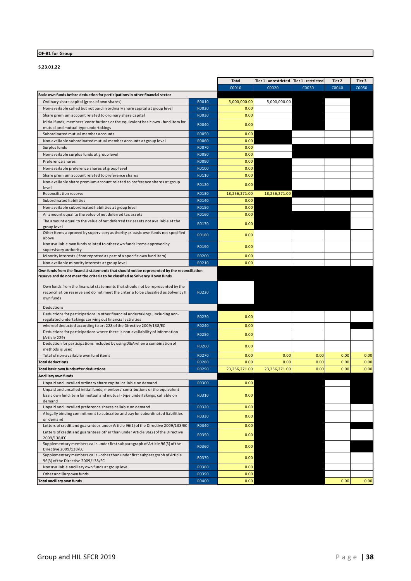#### **OF-B1 for Group**

**S.23.01.22**

|                                                                                                       |              | <b>Total</b>  | Tier 1 - unrestricted   Tier 1 - restricted |       | Tier 2 | Tier 3 |
|-------------------------------------------------------------------------------------------------------|--------------|---------------|---------------------------------------------|-------|--------|--------|
|                                                                                                       |              | C0010         | C0020                                       | C0030 | C0040  | C0050  |
| Basic own funds before deduction for participations in other financial sector                         |              |               |                                             |       |        |        |
| Ordinary share capital (gross of own shares)                                                          | R0010        | 5,000,000.00  | 5,000,000.00                                |       |        |        |
| Non-available called but not paid in ordinary share capital at group level                            | R0020        | 0.00          |                                             |       |        |        |
| Share premium account related to ordinary share capital                                               | R0030        | 0.00          |                                             |       |        |        |
| Initial funds, members' contributions or the equivalent basic own - fund item for                     | R0040        | 0.00          |                                             |       |        |        |
| mutual and mutual-type undertakings                                                                   |              |               |                                             |       |        |        |
| Subordinated mutual member accounts                                                                   | <b>R0050</b> | 0.00          |                                             |       |        |        |
| Non-available subordinated mutual member accounts at group level                                      | R0060        | 0.00          |                                             |       |        |        |
| Surplus funds                                                                                         | R0070        | 0.00          |                                             |       |        |        |
| Non-available surplus funds at group level                                                            | <b>RO080</b> | 0.00          |                                             |       |        |        |
| Preference shares                                                                                     | R0090        | 0.00          |                                             |       |        |        |
| Non-available preference shares at group level                                                        | R0100        | 0.00          |                                             |       |        |        |
| Share premium account related to preference shares                                                    | R0110        | 0.00          |                                             |       |        |        |
| Non-available share premium account related to preference shares at group<br>level                    | R0120        | 0.00          |                                             |       |        |        |
| Reconciliation reserve                                                                                | R0130        | 18,256,271.00 | 18,256,271.00                               |       |        |        |
| Subordinated liabilities                                                                              | R0140        | 0.00          |                                             |       |        |        |
| Non-available subordinated liabilities at group level                                                 | R0150        | 0.00          |                                             |       |        |        |
| An amount equal to the value of net deferred tax assets                                               | R0160        | 0.00          |                                             |       |        |        |
| The amount equal to the value of net deferred tax assets not available at the                         | R0170        | 0.00          |                                             |       |        |        |
| group level                                                                                           |              |               |                                             |       |        |        |
| Other items approved by supervisory authority as basic own funds not specified                        | R0180        | 0.00          |                                             |       |        |        |
| above<br>Non available own funds related to other own funds items approved by                         |              |               |                                             |       |        |        |
| supervisory authority                                                                                 | R0190        | 0.00          |                                             |       |        |        |
| Minority interests (if not reported as part of a specific own fund item)                              | R0200        | 0.00          |                                             |       |        |        |
| Non-available minority interests at group level                                                       | R0210        | 0.00          |                                             |       |        |        |
| Own funds from the financial statements that should not be represented by the reconciliation          |              |               |                                             |       |        |        |
| reserve and do not meet the criteria to be classified as Solvency II own funds                        |              |               |                                             |       |        |        |
| Own funds from the financial statements that should not be represented by the                         |              |               |                                             |       |        |        |
| reconciliation reserve and do not meet the criteria to be classified as Solvency II                   | R0220        |               |                                             |       |        |        |
| own funds                                                                                             |              |               |                                             |       |        |        |
| Deductions                                                                                            |              |               |                                             |       |        |        |
| Deductions for participations in other financial undertakings, including non-                         |              |               |                                             |       |        |        |
| regulated undertakings carrying out financial activities                                              | R0230        | 0.00          |                                             |       |        |        |
| whereof deducted according to art 228 of the Directive 2009/138/EC                                    | R0240        | 0.00          |                                             |       |        |        |
| Deductions for participations where there is non-availability of information                          | R0250        | 0.00          |                                             |       |        |        |
| (Article 229)<br>Deduction for participations included by using D&A when a combination of             |              |               |                                             |       |        |        |
| methods is used                                                                                       | R0260        | 0.00          |                                             |       |        |        |
| Total of non-available own fund items                                                                 | R0270        | 0.00          | 0.00                                        | 0.00  | 0.00   | 0.00   |
| <b>Total deductions</b>                                                                               | R0280        | 0.00          | 0.00                                        | 0.00  | 0.00   | 0.00   |
| <b>Total basic own funds after deductions</b>                                                         | R0290        | 23,256,271.00 | 23,256,271.00                               | 0.00  | 0.00   | 0.00   |
| Ancillary own funds                                                                                   |              |               |                                             |       |        |        |
| Unpaid and uncalled ordinary share capital callable on demand                                         | R0300        | 0.00          |                                             |       |        |        |
| Unpaid and uncalled initial funds, members' contributions or the equivalent                           |              |               |                                             |       |        |        |
| basic own fund item for mutual and mutual - type undertakings, callable on                            | R0310        | 0.00          |                                             |       |        |        |
| demand                                                                                                |              |               |                                             |       |        |        |
| Unpaid and uncalled preference shares callable on demand                                              | R0320        | 0.00          |                                             |       |        |        |
| A legally binding commitment to subscribe and pay for subordinated liabilities<br>on demand           | R0330        | 0.00          |                                             |       |        |        |
| Letters of credit and guarantees under Article 96(2) of the Directive 2009/138/EC                     | R0340        | 0.00          |                                             |       |        |        |
| Letters of credit and guarantees other than under Article 96(2) of the Directive                      |              |               |                                             |       |        |        |
| 2009/138/EC                                                                                           | R0350        | 0.00          |                                             |       |        |        |
| Supplementary members calls under first subparagraph of Article 96(3) of the                          | R0360        | 0.00          |                                             |       |        |        |
| Directive 2009/138/EC<br>Supplementary members calls - other than under first subparagraph of Article |              |               |                                             |       |        |        |
| 96(3) of the Directive 2009/138/EC                                                                    | R0370        | 0.00          |                                             |       |        |        |
| Non available ancillary own funds at group level                                                      | R0380        | 0.00          |                                             |       |        |        |
| Other ancillary own funds                                                                             | R0390        | 0.00          |                                             |       |        |        |
| Total ancillary own funds                                                                             | R0400        | 0.00          |                                             |       | 0.00   | 0.00   |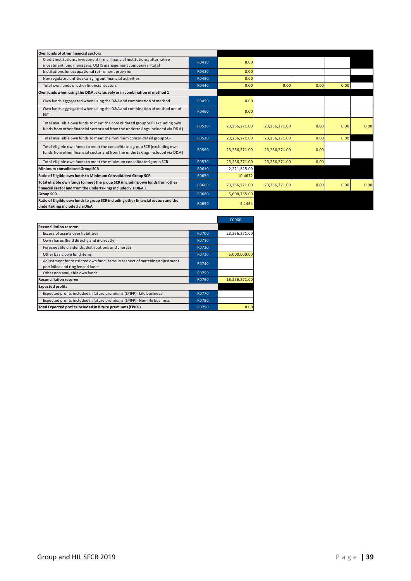| Own funds of other financial sectors                                                                                                                         |       |               |               |      |      |      |
|--------------------------------------------------------------------------------------------------------------------------------------------------------------|-------|---------------|---------------|------|------|------|
| Credit institutions, investment firms, financial institutions, alternative<br>investment fund managers, UCITS management companies - total                   | R0410 | 0.00          |               |      |      |      |
| Institutions for occupational retirement provision                                                                                                           | R0420 | 0.00          |               |      |      |      |
| Non regulated entities carrying out financial activities                                                                                                     | R0430 | 0.00          |               |      |      |      |
| Total own funds of other financial sectors                                                                                                                   | R0440 | 0.00          | 0.00          | 0.00 | 0.00 |      |
| Own funds when using the D&A, exclusively or in combination of method 1                                                                                      |       |               |               |      |      |      |
| Own funds aggregated when using the D&A and combination of method                                                                                            | R0450 | 0.00          |               |      |      |      |
| Own funds aggregated when using the D&A and combination of method net of<br><b>IGT</b>                                                                       | R0460 | 0.00          |               |      |      |      |
| Total available own funds to meet the consolidated group SCR (excluding own<br>funds from other financial sector and from the undertakings included via D&A) | R0520 | 23,256,271.00 | 23,256,271.00 | 0.00 | 0.00 | 0.00 |
| Total available own funds to meet the minimum consolidated group SCR                                                                                         | R0530 | 23,256,271.00 | 23,256,271.00 | 0.00 | 0.00 |      |
| Total eligible own funds to meet the consolidated group SCR (excluding own<br>funds from other financial sector and from the undertakings included via D&A)  | R0560 | 23,256,271.00 | 23,256,271.00 | 0.00 |      |      |
| Total eligible own funds to meet the minimum consolidated group SCR                                                                                          | R0570 | 23,256,271.00 | 23,256,271.00 | 0.00 |      |      |
| Minimum consolidated Group SCR                                                                                                                               | R0610 | 2,221,825.00  |               |      |      |      |
| Ratio of Eligible own funds to Minimum Consolidated Group SCR                                                                                                | R0650 | 10.4672       |               |      |      |      |
| Total eligible own funds to meet the group SCR (including own funds from other<br>financial sector and from the undertakings included via D&A)               | R0660 | 23,256,271.00 | 23,256,271.00 | 0.00 | 0.00 | 0.00 |
| <b>Group SCR</b>                                                                                                                                             | R0680 | 5,608,755.00  |               |      |      |      |
| Ratio of Eligible own funds to group SCR including other financial sectors and the<br>undertakings included via D&A                                          | R0690 | 4.1464        |               |      |      |      |

|                                                                                                                |              | C0060         |
|----------------------------------------------------------------------------------------------------------------|--------------|---------------|
| <b>Reconciliation reserve</b>                                                                                  |              |               |
| Excess of assets over liabilities                                                                              | <b>R0700</b> | 23,256,271.00 |
| Own shares (held directly and indirectly)                                                                      | R0710        |               |
| Foreseeable dividends, distributions and charges                                                               | R0720        |               |
| Other basic own fund items                                                                                     | R0730        | 5,000,000.00  |
| Adjustment for restricted own fund items in respect of matching adjustment<br>portfolios and ring fenced funds | R0740        |               |
| Other non available own funds                                                                                  | R0750        |               |
| <b>Reconciliation reserve</b>                                                                                  | R0760        | 18,256,271.00 |
| <b>Expected profits</b>                                                                                        |              |               |
| Expected profits included in future premiums (EPIFP) - Life business                                           | R0770        |               |
| Expected profits included in future premiums (EPIFP) - Non-life business                                       | R0780        |               |
| Total Expected profits included in future premiums (EPIFP)                                                     | R0790        | 0.00          |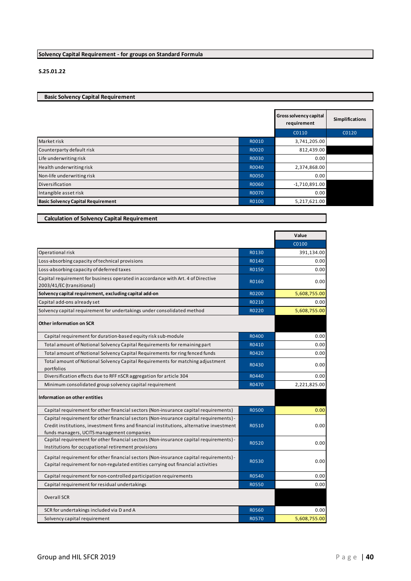#### **Solvency Capital Requirement - for groups on Standard Formula**

#### **S.25.01.22**

#### **Basic Solvency Capital Requirement**

|                                           |              | <b>Gross solvency capital</b><br>requirement | <b>Simplifications</b> |
|-------------------------------------------|--------------|----------------------------------------------|------------------------|
|                                           |              | C0110                                        | C0120                  |
| Market risk                               | R0010        | 3,741,205.00                                 |                        |
| Counterparty default risk                 | R0020        | 812,439.00                                   |                        |
| Life underwriting risk                    | R0030        | 0.00                                         |                        |
| Health underwriting risk                  | R0040        | 2,374,868.00                                 |                        |
| Non-life underwriting risk                | <b>RO050</b> | 0.00                                         |                        |
| Diversification                           | R0060        | $-1,710,891.00$                              |                        |
| Intangible asset risk                     | <b>R0070</b> | 0.00                                         |                        |
| <b>Basic Solvency Capital Requirement</b> | R0100        | 5,217,621.00                                 |                        |

| <b>Calculation of Solvency Capital Requirement</b> |  |  |
|----------------------------------------------------|--|--|
|----------------------------------------------------|--|--|

|                                                                                                                                                                                                                                  |              | Value        |
|----------------------------------------------------------------------------------------------------------------------------------------------------------------------------------------------------------------------------------|--------------|--------------|
|                                                                                                                                                                                                                                  |              | C0100        |
| Operational risk                                                                                                                                                                                                                 | R0130        | 391,134.00   |
| Loss-absorbing capacity of technical provisions                                                                                                                                                                                  | R0140        | 0.00         |
| Loss-absorbing capacity of deferred taxes                                                                                                                                                                                        | R0150        | 0.00         |
| Capital requirement for business operated in accordance with Art. 4 of Directive<br>2003/41/EC (transitional)                                                                                                                    | R0160        | 0.00         |
| Solvency capital requirement, excluding capital add-on                                                                                                                                                                           | R0200        | 5,608,755.00 |
| Capital add-ons already set                                                                                                                                                                                                      | R0210        | 0.00         |
| Solvency capital requirement for undertakings under consolidated method                                                                                                                                                          | R0220        | 5,608,755.00 |
| Other information on SCR                                                                                                                                                                                                         |              |              |
| Capital requirement for duration-based equity risk sub-module                                                                                                                                                                    | R0400        | 0.00         |
| Total amount of Notional Solvency Capital Requirements for remaining part                                                                                                                                                        | R0410        | 0.00         |
| Total amount of Notional Solvency Capital Requirements for ring fenced funds                                                                                                                                                     | R0420        | 0.00         |
| Total amount of Notional Solvency Capital Requirements for matching adjustment<br>portfolios                                                                                                                                     | R0430        | 0.00         |
| Diversification effects due to RFF nSCR aggregation for article 304                                                                                                                                                              | R0440        | 0.00         |
| Minimum consolidated group solvency capital requirement                                                                                                                                                                          | R0470        | 2,221,825.00 |
| Information on other entities                                                                                                                                                                                                    |              |              |
| Capital requirement for other financial sectors (Non-insurance capital requirements)                                                                                                                                             | <b>R0500</b> | 0.00         |
| Capital requirement for other financial sectors (Non-insurance capital requirements) -<br>Credit institutions, investment firms and financial institutions, alternative investment<br>funds managers, UCITS management companies | R0510        | 0.00         |
| Capital requirement for other financial sectors (Non-insurance capital requirements) -<br>Institutions for occupational retirement provisions                                                                                    | R0520        | 0.00         |
| Capital requirement for other financial sectors (Non-insurance capital requirements) -<br>Capital requirement for non-regulated entities carrying out financial activities                                                       | R0530        | 0.00         |
| Capital requirement for non-controlled participation requirements                                                                                                                                                                | R0540        | 0.00         |
| Capital requirement for residual undertakings                                                                                                                                                                                    | R0550        | 0.00         |
| <b>Overall SCR</b>                                                                                                                                                                                                               |              |              |
| SCR for undertakings included via D and A                                                                                                                                                                                        | R0560        | 0.00         |
| Solvency capital requirement                                                                                                                                                                                                     | R0570        | 5,608,755.00 |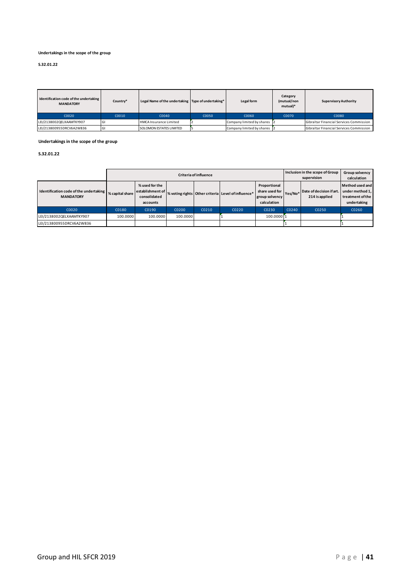#### **Undertakings in the scope of the group**

#### **S.32.01.22**

| Identification code of the undertaking<br><b>MANDATORY</b> | Country* | Legal Name of the undertaking Type of undertaking* |       | Legal form                | Category<br>(mutual/non<br>mutual)* | <b>Supervisory Authority</b>            |
|------------------------------------------------------------|----------|----------------------------------------------------|-------|---------------------------|-------------------------------------|-----------------------------------------|
| C0020                                                      | C0010    | C0040                                              | C0050 | C0060                     | C0070                               | C0080                                   |
| LEI/2138002QELXAAMTKY907                                   |          | <b>HMCA Insurance Limited</b>                      |       | Company limited by shares |                                     | Gibraltar Financial Services Commission |
| LEI/213800955DRCV6A2W836                                   |          | <b>SOLOMON ESTATES LIMITED</b>                     |       | Company limited by shares |                                     | Gibraltar Financial Services Commission |

#### **Undertakings in the scope of the group**

#### **S.32.01.22**

|                                                            |                 |                                                                |          | <b>Criteria of influence</b> |                                                    |                                                                 |         | Inclusion in the scope of Group<br>supervision | Group solvency<br>calculation                                         |
|------------------------------------------------------------|-----------------|----------------------------------------------------------------|----------|------------------------------|----------------------------------------------------|-----------------------------------------------------------------|---------|------------------------------------------------|-----------------------------------------------------------------------|
| Identification code of the undertaking<br><b>MANDATORY</b> | % capital share | % used for the<br>establishment of<br>consolidated<br>accounts |          |                              | % voting rights Other criteria Level of influence* | Proportional<br>share used for<br>group solvency<br>calculation | Yes/No* | Date of decision if art.<br>214 is applied     | Method used and<br>under method 1,<br>treatment of the<br>undertaking |
| C0020                                                      | C0180           | C0190                                                          | C0200    | C0210                        | C0220                                              | C0230                                                           | C0240   | C0250                                          | C0260                                                                 |
| LEI/2138002QELXAAMTKY907                                   | 100.0000        | 100.0000                                                       | 100.0000 |                              |                                                    | 100.0000 1                                                      |         |                                                |                                                                       |
| LEI/213800955DRCV6A2W836                                   |                 |                                                                |          |                              |                                                    |                                                                 |         |                                                |                                                                       |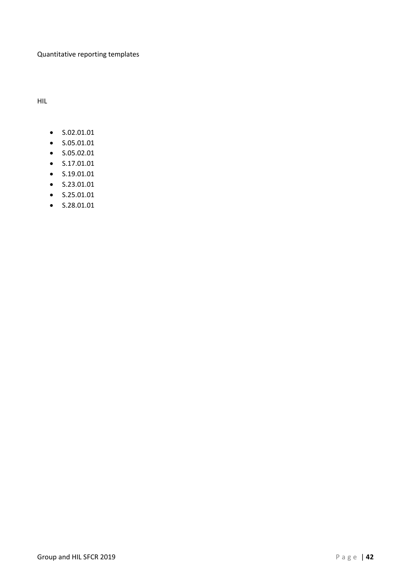#### Quantitative reporting templates

HIL

- S.02.01.01
- S.05.01.01
- S.05.02.01
- S.17.01.01
- S.19.01.01
- S.23.01.01
- S.25.01.01
- S.28.01.01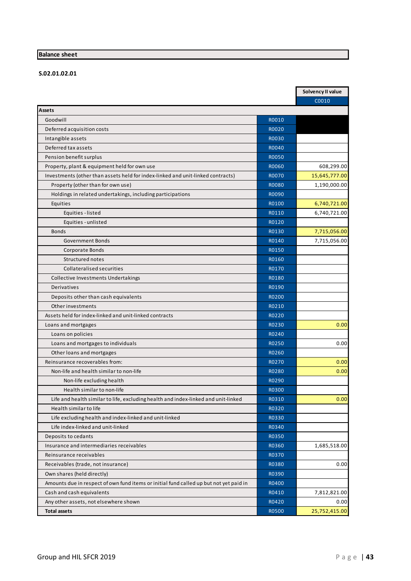#### **Balance sheet**

#### **S.02.01.02.01**

|                                                                                        |              | Solvency II value |
|----------------------------------------------------------------------------------------|--------------|-------------------|
|                                                                                        |              | C0010             |
| <b>Assets</b>                                                                          |              |                   |
| Goodwill                                                                               | R0010        |                   |
| Deferred acquisition costs                                                             | R0020        |                   |
| Intangible assets                                                                      | R0030        |                   |
| Deferred tax assets                                                                    | R0040        |                   |
| Pension benefit surplus                                                                | <b>R0050</b> |                   |
| Property, plant & equipment held for own use                                           | R0060        | 608,299.00        |
| Investments (other than assets held for index-linked and unit-linked contracts)        | R0070        | 15,645,777.00     |
| Property (other than for own use)                                                      | R0080        | 1,190,000.00      |
| Holdings in related undertakings, including participations                             | R0090        |                   |
| Equities                                                                               | R0100        | 6,740,721.00      |
| Equities - listed                                                                      | R0110        | 6,740,721.00      |
| Equities - unlisted                                                                    | R0120        |                   |
| <b>Bonds</b>                                                                           | R0130        | 7,715,056.00      |
| <b>Government Bonds</b>                                                                | R0140        | 7,715,056.00      |
| Corporate Bonds                                                                        | R0150        |                   |
| Structured notes                                                                       | R0160        |                   |
| Collateralised securities                                                              | R0170        |                   |
| Collective Investments Undertakings                                                    | R0180        |                   |
| Derivatives                                                                            | R0190        |                   |
| Deposits other than cash equivalents                                                   | R0200        |                   |
| Other investments                                                                      | R0210        |                   |
| Assets held for index-linked and unit-linked contracts                                 | R0220        |                   |
| Loans and mortgages                                                                    | R0230        | 0.00              |
| Loans on policies                                                                      | R0240        |                   |
| Loans and mortgages to individuals                                                     | R0250        | 0.00              |
| Other loans and mortgages                                                              | R0260        |                   |
| Reinsurance recoverables from:                                                         | R0270        | 0.00              |
| Non-life and health similar to non-life                                                | R0280        | 0.00              |
| Non-life excluding health                                                              | R0290        |                   |
| Health similar to non-life                                                             | R0300        |                   |
| Life and health similar to life, excluding health and index-linked and unit-linked     | R0310        | 0.00              |
| Health similar to life                                                                 | R0320        |                   |
| Life excluding health and index-linked and unit-linked                                 | R0330        |                   |
| Life index-linked and unit-linked                                                      | R0340        |                   |
| Deposits to cedants                                                                    | R0350        |                   |
| Insurance and intermediaries receivables                                               | R0360        | 1,685,518.00      |
| Reinsurance receivables                                                                | R0370        |                   |
| Receivables (trade, not insurance)                                                     | R0380        | 0.00              |
| Own shares (held directly)                                                             | R0390        |                   |
|                                                                                        | R0400        |                   |
| Amounts due in respect of own fund items or initial fund called up but not yet paid in |              |                   |
| Cash and cash equivalents                                                              | R0410        | 7,812,821.00      |
| Any other assets, not elsewhere shown                                                  | R0420        | 0.00              |
| <b>Total assets</b>                                                                    | R0500        | 25,752,415.00     |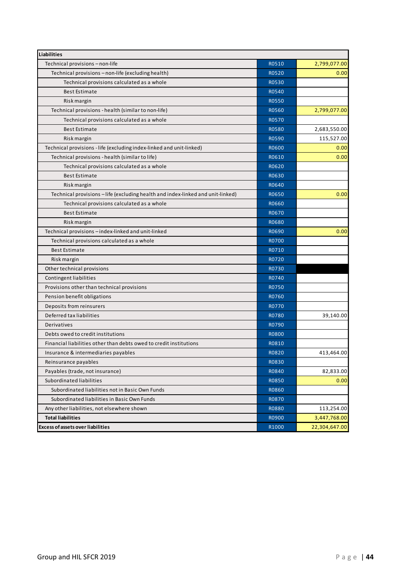| <b>Liabilities</b>                                                              |              |               |
|---------------------------------------------------------------------------------|--------------|---------------|
| Technical provisions - non-life                                                 | R0510        | 2,799,077.00  |
| Technical provisions - non-life (excluding health)                              | R0520        | 0.00          |
| Technical provisions calculated as a whole                                      | R0530        |               |
| <b>Best Estimate</b>                                                            | R0540        |               |
| Risk margin                                                                     | <b>R0550</b> |               |
| Technical provisions - health (similar to non-life)                             | R0560        | 2,799,077.00  |
| Technical provisions calculated as a whole                                      | R0570        |               |
| <b>Best Estimate</b>                                                            | <b>R0580</b> | 2,683,550.00  |
| Risk margin                                                                     | R0590        | 115,527.00    |
| Technical provisions - life (excluding index-linked and unit-linked)            | R0600        | 0.00          |
| Technical provisions - health (similar to life)                                 | R0610        | 0.00          |
| Technical provisions calculated as a whole                                      | R0620        |               |
| <b>Best Estimate</b>                                                            | R0630        |               |
| Risk margin                                                                     | R0640        |               |
| Technical provisions - life (excluding health and index-linked and unit-linked) | R0650        | 0.00          |
| Technical provisions calculated as a whole                                      | R0660        |               |
| <b>Best Estimate</b>                                                            | R0670        |               |
| Risk margin                                                                     | R0680        |               |
| Technical provisions - index-linked and unit-linked                             | R0690        | 0.00          |
| Technical provisions calculated as a whole                                      | R0700        |               |
| <b>Best Estimate</b>                                                            | R0710        |               |
| Risk margin                                                                     | R0720        |               |
| Other technical provisions                                                      | R0730        |               |
| Contingent liabilities                                                          | R0740        |               |
| Provisions other than technical provisions                                      | R0750        |               |
| Pension benefit obligations                                                     | R0760        |               |
| Deposits from reinsurers                                                        | R0770        |               |
| Deferred tax liabilities                                                        | R0780        | 39,140.00     |
| Derivatives                                                                     | R0790        |               |
| Debts owed to credit institutions                                               | <b>R0800</b> |               |
| Financial liabilities other than debts owed to credit institutions              | R0810        |               |
| Insurance & intermediaries payables                                             | <b>R0820</b> | 413,464.00    |
| Reinsurance payables                                                            | R0830        |               |
| Payables (trade, not insurance)                                                 | R0840        | 82,833.00     |
| Subordinated liabilities                                                        | R0850        | 0.00          |
| Subordinated liabilities not in Basic Own Funds                                 | R0860        |               |
| Subordinated liabilities in Basic Own Funds                                     | R0870        |               |
| Any other liabilities, not elsewhere shown                                      | R0880        | 113,254.00    |
| <b>Total liabilities</b>                                                        | R0900        | 3,447,768.00  |
| <b>Excess of assets over liabilities</b>                                        | R1000        | 22,304,647.00 |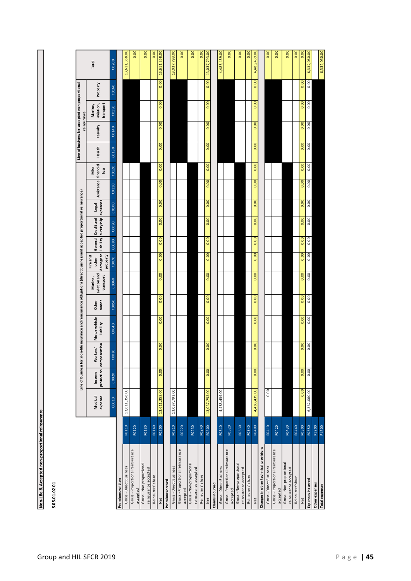| cepted non-proportional reinsuran |
|-----------------------------------|
| J                                 |
| e &                               |

**S.05.01.02.01**

|                                                |       |                    |        |                                     | Line of Business for: non-life insurance and reinsurance obligations (direct business and accepted proportional reinsurance) |                |                                      |                                                                          |                    |       |       |                      |              |        | reinsurance | Line of business for: accepted non-proportional |          |               |
|------------------------------------------------|-------|--------------------|--------|-------------------------------------|------------------------------------------------------------------------------------------------------------------------------|----------------|--------------------------------------|--------------------------------------------------------------------------|--------------------|-------|-------|----------------------|--------------|--------|-------------|-------------------------------------------------|----------|---------------|
|                                                |       | Medical<br>expense | Income | protection compensation<br>Workers' | Motor vehicle<br>liability                                                                                                   | Other<br>motor | aviation and<br>transport<br>Marine, | damage to liability suretyship expenses<br>property<br>Fire and<br>other | General Credit and |       | Legal | Assistance financial | Misc<br>loss | Health | Casualty    | aviation,<br>transport<br>Marine,               | Property | Total         |
|                                                |       | C0010              | C0020  | 030<br>$\mathcal{S}$                | C0040                                                                                                                        | C0050          | C0060                                | C0070                                                                    | C0080              | C0090 | C0100 | C0110                | C0120        | C0130  | C0140       | C0150                                           | C0160    | C0200         |
| remiums written                                |       |                    |        |                                     |                                                                                                                              |                |                                      |                                                                          |                    |       |       |                      |              |        |             |                                                 |          |               |
| Gross-Direct Business                          | R0110 | 13,611,358.00      |        |                                     |                                                                                                                              |                |                                      |                                                                          |                    |       |       |                      |              |        |             |                                                 |          | 13,611,358.00 |
| Gross-Proportional reinsurance<br>accepted     | R0120 |                    |        |                                     |                                                                                                                              |                |                                      |                                                                          |                    |       |       |                      |              |        |             |                                                 |          | 0.00          |
| Gross-Non-proportional<br>reinsurance accepted | R0130 |                    |        |                                     |                                                                                                                              |                |                                      |                                                                          |                    |       |       |                      |              |        |             |                                                 |          | 0.00          |
| Reinsurers'share                               | R0140 |                    |        |                                     |                                                                                                                              |                |                                      |                                                                          |                    |       |       |                      |              |        |             |                                                 |          | 0.00          |
| Net                                            | R0200 | 13,611,358.00      | 0.00   | 0.00                                | 0.00                                                                                                                         | 0.00           | 0.00                                 | 0.00                                                                     | 0.00               | 0.00  | 0.00  | 0.00                 | 0.00         | 0.00   | 0.00        | 0.00                                            | 0.00     | 13,611,358.00 |
| Premiums earned                                |       |                    |        |                                     |                                                                                                                              |                |                                      |                                                                          |                    |       |       |                      |              |        |             |                                                 |          |               |
| Gross-Direct Business                          | R0210 | 13,037,793.00      |        |                                     |                                                                                                                              |                |                                      |                                                                          |                    |       |       |                      |              |        |             |                                                 |          | 13,037,793.00 |
| Gross-Proportional reinsurance<br>accepted     | R0220 |                    |        |                                     |                                                                                                                              |                |                                      |                                                                          |                    |       |       |                      |              |        |             |                                                 |          | 0.00          |
| Gross-Non-proportional<br>reinsurance accepted | R0230 |                    |        |                                     |                                                                                                                              |                |                                      |                                                                          |                    |       |       |                      |              |        |             |                                                 |          | 0.00          |
| Reinsurers'share                               | R0240 |                    |        |                                     |                                                                                                                              |                |                                      |                                                                          |                    |       |       |                      |              |        |             |                                                 |          | 0.00          |
| Net                                            | R0300 | 13,037,793.00      | 0.00   | 0.00                                | 0.00                                                                                                                         | 0.00           | 0.00                                 | 0.00                                                                     | 0.00               | 0.00  | 0.00  | 0.00                 | 0.00         | 0.00   | 0.00        | 0.00                                            | 0.00     | 13,037,793.00 |
| Claims incurred                                |       |                    |        |                                     |                                                                                                                              |                |                                      |                                                                          |                    |       |       |                      |              |        |             |                                                 |          |               |
| Gross-Direct Business                          | R0310 | 4,483,439.00       |        |                                     |                                                                                                                              |                |                                      |                                                                          |                    |       |       |                      |              |        |             |                                                 |          | 4,483,439.00  |
| Gross-Proportional reinsurance<br>accepted     | R0320 |                    |        |                                     |                                                                                                                              |                |                                      |                                                                          |                    |       |       |                      |              |        |             |                                                 |          | 0.00          |
| Gross-Non-proportional<br>reinsurance accepted | R0330 |                    |        |                                     |                                                                                                                              |                |                                      |                                                                          |                    |       |       |                      |              |        |             |                                                 |          | 0.00          |
| Reinsurers'share                               | R0340 |                    |        |                                     |                                                                                                                              |                |                                      |                                                                          |                    |       |       |                      |              |        |             |                                                 |          | 0.00          |
| Net                                            | R0400 | 4,483,439.00       | 0.00   | 0.00                                | 0.00                                                                                                                         | 0.00           | 0.00                                 | 0.00                                                                     | 0.00               | 0.00  | 0.00  | 0.00                 | 0.00         | 0.00   | 0.00        | 0.00                                            | 0.00     | 4,483,439.00  |
| Changes in other technical provisions          |       |                    |        |                                     |                                                                                                                              |                |                                      |                                                                          |                    |       |       |                      |              |        |             |                                                 |          |               |
| Gross-Direct Business                          | R0410 | 0.00               |        |                                     |                                                                                                                              |                |                                      |                                                                          |                    |       |       |                      |              |        |             |                                                 |          | 0.00          |
| Gross-Proportional reinsurance<br>accepted     | R0420 |                    |        |                                     |                                                                                                                              |                |                                      |                                                                          |                    |       |       |                      |              |        |             |                                                 |          | 0.00          |
| Gross-Non-proportional<br>reinsurance accepted | R0430 |                    |        |                                     |                                                                                                                              |                |                                      |                                                                          |                    |       |       |                      |              |        |             |                                                 |          | 0.00          |
| Reinsurers'share                               | R0440 |                    |        |                                     |                                                                                                                              |                |                                      |                                                                          |                    |       |       |                      |              |        |             |                                                 |          | 0.00          |
| Net                                            | R0500 | 0.00               | 0.00   | 0.00                                | 0.00                                                                                                                         | 0.00           | 0.00                                 | 0.00                                                                     | 0.00               | 0.00  | 0.00  | 0.00                 | 0.00         | 0.00   | 0.00        | 0.00                                            | 0.00     | 0.00          |
| Expenses incurred                              | R0550 | 6,332,060.00       | 0.00   | 0.00                                | 0.00                                                                                                                         | 0.00           | 0.00                                 | 0.00                                                                     | 0.00               | 0.00  | 0.00  | 0.00                 | 0.00         | 0.00   | 0.00        | 0.00                                            | 0.00     | 6,332,060.00  |
| Other expenses                                 | R1200 |                    |        |                                     |                                                                                                                              |                |                                      |                                                                          |                    |       |       |                      |              |        |             |                                                 |          |               |
| <b>Total expenses</b>                          | R1300 |                    |        |                                     |                                                                                                                              |                |                                      |                                                                          |                    |       |       |                      |              |        |             |                                                 |          | 6,332,060.00  |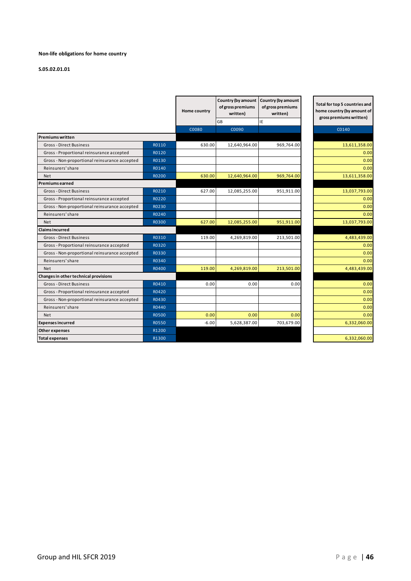#### **Non-life obligations for home country**

#### **S.05.02.01.01**

|                                               |              | Home country | Country (by amount<br>of gross premiums<br>written) | Country (by amount<br>of gross premiums<br>written) | Total for top 5 countries and<br>home country (by amount of<br>gross premiums written) |
|-----------------------------------------------|--------------|--------------|-----------------------------------------------------|-----------------------------------------------------|----------------------------------------------------------------------------------------|
|                                               |              |              | <b>GB</b>                                           | IE                                                  |                                                                                        |
|                                               |              | C0080        | C0090                                               |                                                     | C0140                                                                                  |
| Premiums written                              |              |              |                                                     |                                                     |                                                                                        |
| <b>Gross-Direct Business</b>                  | R0110        | 630.00       | 12,640,964.00                                       | 969,764.00                                          | 13,611,358.00                                                                          |
| Gross - Proportional reinsurance accepted     | R0120        |              |                                                     |                                                     | 0.00                                                                                   |
| Gross - Non-proportional reinsurance accepted | R0130        |              |                                                     |                                                     | 0.00                                                                                   |
| Reinsurers' share                             | R0140        |              |                                                     |                                                     | 0.00                                                                                   |
| <b>Net</b>                                    | R0200        | 630.00       | 12,640,964.00                                       | 969,764.00                                          | 13,611,358.00                                                                          |
| Premiums earned                               |              |              |                                                     |                                                     |                                                                                        |
| <b>Gross-Direct Business</b>                  | R0210        | 627.00       | 12,085,255.00                                       | 951,911.00                                          | 13,037,793.00                                                                          |
| Gross - Proportional reinsurance accepted     | R0220        |              |                                                     |                                                     | 0.00                                                                                   |
| Gross - Non-proportional reinsurance accepted | R0230        |              |                                                     |                                                     | 0.00                                                                                   |
| Reinsurers' share                             | R0240        |              |                                                     |                                                     | 0.00                                                                                   |
| <b>Net</b>                                    | R0300        | 627.00       | 12,085,255.00                                       | 951,911.00                                          | 13,037,793.00                                                                          |
| <b>Claims incurred</b>                        |              |              |                                                     |                                                     |                                                                                        |
| <b>Gross-Direct Business</b>                  | R0310        | 119.00       | 4,269,819.00                                        | 213,501.00                                          | 4,483,439.00                                                                           |
| Gross - Proportional reinsurance accepted     | R0320        |              |                                                     |                                                     | 0.00                                                                                   |
| Gross - Non-proportional reinsurance accepted | R0330        |              |                                                     |                                                     | 0.00                                                                                   |
| Reinsurers' share                             | R0340        |              |                                                     |                                                     | 0.00                                                                                   |
| <b>Net</b>                                    | R0400        | 119.00       | 4,269,819.00                                        | 213,501.00                                          | 4,483,439.00                                                                           |
| Changes in other technical provisions         |              |              |                                                     |                                                     |                                                                                        |
| <b>Gross-Direct Business</b>                  | R0410        | 0.00         | 0.00                                                | 0.00                                                | 0.00                                                                                   |
| Gross - Proportional reinsurance accepted     | R0420        |              |                                                     |                                                     | 0.00                                                                                   |
| Gross - Non-proportional reinsurance accepted | R0430        |              |                                                     |                                                     | 0.00                                                                                   |
| Reinsurers' share                             | R0440        |              |                                                     |                                                     | 0.00                                                                                   |
| <b>Net</b>                                    | <b>R0500</b> | 0.00         | 0.00                                                | 0.00                                                | 0.00                                                                                   |
| <b>Expenses incurred</b>                      | R0550        | $-6.00$      | 5,628,387.00                                        | 703,679.00                                          | 6,332,060.00                                                                           |
| Other expenses                                | R1200        |              |                                                     |                                                     |                                                                                        |
| <b>Total expenses</b>                         | R1300        |              |                                                     |                                                     | 6,332,060.00                                                                           |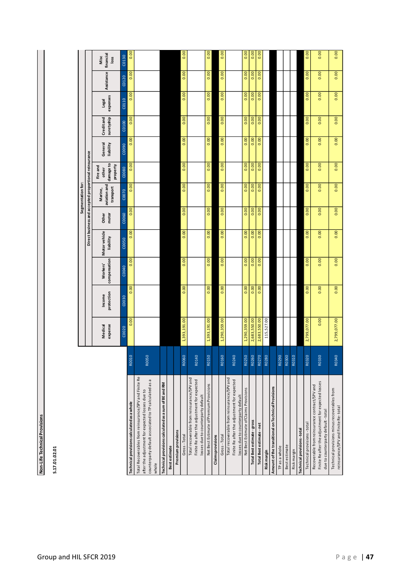Non-Life Technical Provisions **Non-Life Technical Provisions**

| г |  |
|---|--|
| Ξ |  |
| r |  |
| Ξ |  |
|   |  |
|   |  |
|   |  |
|   |  |
|   |  |
| ń |  |

|                                                                                                                                                                            |                  |                    |                      |                                |                           |                                                       | Segmentation for:                    |                                            |                      |                          |                   |            |                           |
|----------------------------------------------------------------------------------------------------------------------------------------------------------------------------|------------------|--------------------|----------------------|--------------------------------|---------------------------|-------------------------------------------------------|--------------------------------------|--------------------------------------------|----------------------|--------------------------|-------------------|------------|---------------------------|
|                                                                                                                                                                            |                  |                    |                      |                                |                           | Direct business and accepted proportional reinsurance |                                      |                                            |                      |                          |                   |            |                           |
|                                                                                                                                                                            |                  | expense<br>Medical | protection<br>Income | compensation<br><b>Workers</b> | Motorvehicle<br>liability | motor<br><b>Other</b>                                 | aviation and<br>transport<br>Marine, | damage to<br>property<br>Fire and<br>other | General<br>liability | Credit and<br>suretyship | expenses<br>Legal | Assistance | financial<br>Misc<br>loss |
|                                                                                                                                                                            |                  | C0020              | C0030                | C0040                          | C0050                     | C0060                                                 | C0070                                | C0080                                      | CO090                | C0100                    | C0110             | C0120      | C0130                     |
| Technical provisions calculated as a whole                                                                                                                                 | R001             | 0.00               | 0.00                 | 0.00                           | 0.00                      | 0.00                                                  | 0.00                                 | 0.00                                       | 0.00                 | 0.00                     | 0.00              | 0.00       | 0.00                      |
| Total Recoverables from reinsurance/SPV and Finite Re<br>counterparty default associated to TP calculated as a<br>after the adjustment for expected losses due to<br>whole | R0050            |                    |                      |                                |                           |                                                       |                                      |                                            |                      |                          |                   |            |                           |
| Technical provisions calculated as a sum of BE and RM                                                                                                                      |                  |                    |                      |                                |                           |                                                       |                                      |                                            |                      |                          |                   |            |                           |
| <b>Best estimate</b>                                                                                                                                                       |                  |                    |                      |                                |                           |                                                       |                                      |                                            |                      |                          |                   |            |                           |
| Premium provisions                                                                                                                                                         |                  |                    |                      |                                |                           |                                                       |                                      |                                            |                      |                          |                   |            |                           |
| Gross-Total                                                                                                                                                                | <b>RO060</b>     | 1,393,191.00       | $\overline{0.00}$    | $\overline{0.00}$              | 0.00                      | 0.00                                                  | 0.00                                 | 0.00                                       | 0.00                 | 0.00                     | 0.00              | 0.00       | 0.00                      |
| Total recoverable from reinsurance/SPV and<br>Finite Re after the adjustment for expected<br>losses due to counterparty default                                            | R0140            |                    |                      |                                |                           |                                                       |                                      |                                            |                      |                          |                   |            |                           |
| Net Best Estimate of Premium Provisions                                                                                                                                    | R015             | 1,393,191.00       | 0.00                 | 0.00                           | 0.00                      | 0.00                                                  | 0.00                                 | 0.00                                       | 0.00                 | 0.00                     | 0.00              | 0.00       | 0.00                      |
| Claims provisions                                                                                                                                                          |                  |                    |                      |                                |                           |                                                       |                                      |                                            |                      |                          |                   |            |                           |
| Gross-Total                                                                                                                                                                | R0160            | 1,290,359.00       | 0.00                 | 0.00                           | 0.00                      | 0.00                                                  | 0.00                                 | 0.00                                       | 0.00                 | 0.00                     | 0.00              | 0.00       | 0.00                      |
| Total recoverable from reinsurance/SPV and<br>Finite Re after the adjustment for expected<br>losses due to counterparty default                                            | R0240            |                    |                      |                                |                           |                                                       |                                      |                                            |                      |                          |                   |            |                           |
| Net Best Estimate of Claims Provisions                                                                                                                                     | R0250            | 1,290,359.00       | 0.00                 | 0.00                           | 0.00                      | 0.00                                                  | 0.00                                 | 0.00                                       | 0.00                 | 0.00                     | 0.00              | 0.00       | 0.00                      |
| <b>Total Best estimate - gross</b>                                                                                                                                         | R026             | 2,683,550.00       | 0.00                 | 0.00                           | 0.00                      | 0.00                                                  | 0.00                                 | 0.00                                       | 0.00                 | 0.00                     | 0.00              | 0.00       | 0.00                      |
| Total Best estimate - net                                                                                                                                                  | R027             | 2,683,550.00       | 0.00                 | 0.00                           | 0.00                      | 0.00                                                  | 0.00                                 | 0.00                                       | 0.00                 | 0.00                     | 0.00              | 0.00       | 0.00                      |
| Risk margin                                                                                                                                                                | R028             | 115,527.00         |                      |                                |                           |                                                       |                                      |                                            |                      |                          |                   |            |                           |
| Amount of the transitional on Technical Provisions                                                                                                                         |                  |                    |                      |                                |                           |                                                       |                                      |                                            |                      |                          |                   |            |                           |
| TP as a whole                                                                                                                                                              | R <sub>029</sub> |                    |                      |                                |                           |                                                       |                                      |                                            |                      |                          |                   |            |                           |
| Best estimate                                                                                                                                                              | R0300            |                    |                      |                                |                           |                                                       |                                      |                                            |                      |                          |                   |            |                           |
| Riskmargin                                                                                                                                                                 | R031             |                    |                      |                                |                           |                                                       |                                      |                                            |                      |                          |                   |            |                           |
| Technical provisions-total                                                                                                                                                 |                  |                    |                      |                                |                           |                                                       |                                      |                                            |                      |                          |                   |            |                           |
| Technical provisions - total                                                                                                                                               | R <sub>032</sub> | 2,799,077.00       | 0.00                 | 0.00                           | 0.00                      | 0.00                                                  | 0.00                                 | 0.00                                       | 0.00                 | 0.00                     | 0.00              | 0.00       | 0.00                      |
| Finite Re after the adjustment for expected losses<br>Recoverable from reinsurance contract/SPV and                                                                        | R0330            | 0.00               | 0.00                 | 0.00                           | 0.00                      | 0.00                                                  | 0.00                                 | 0.00                                       | 0.00                 | 0.00                     | 0.00              | 0.00       | 0.00                      |
| due to counterparty default-total                                                                                                                                          |                  |                    |                      |                                |                           |                                                       |                                      |                                            |                      |                          |                   |            |                           |
| Technical provisions minus recoverables from<br>reinsurance/SPV and Finite Re-total                                                                                        | R0340            | 2,799,077.00       | 0.00                 | 0.00                           | 0.00                      | 0.00                                                  | 0.00                                 | 0.00                                       | 0.00                 | 0.00                     | 0.00              | 0.00       | 0.00                      |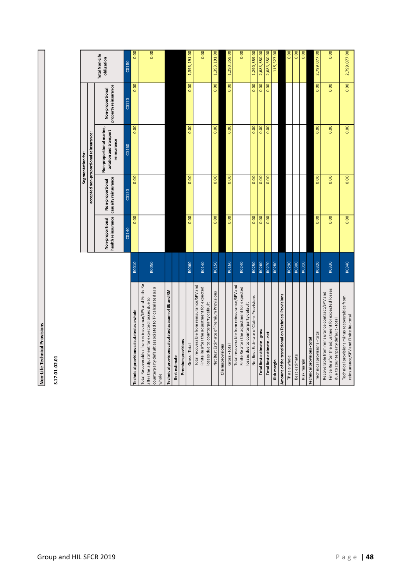Non-Life Technical Provisions **Non-Life Technical Provisions**

S.17.01.02.01 **S.17.01.02.01**

|                                                                                                                                                                            |       |                  |                                                               | Segmentation for:                                                 |                                          |                              |
|----------------------------------------------------------------------------------------------------------------------------------------------------------------------------|-------|------------------|---------------------------------------------------------------|-------------------------------------------------------------------|------------------------------------------|------------------------------|
|                                                                                                                                                                            |       |                  |                                                               | accepted non-proportional reinsurance:                            |                                          |                              |
|                                                                                                                                                                            |       | Non-proportional | health reinsurance   casualty reinsurance<br>Non-proportional | Non-proportional marine,<br>aviation and transport<br>reinsurance | property reinsurance<br>Non-proportional | Total Non-Life<br>obligation |
|                                                                                                                                                                            |       | C0140            | C0150                                                         | C0160                                                             | C0170                                    | C0180                        |
| Technical provisions calculated as a whole                                                                                                                                 | R0010 | 0.00             | 0.00                                                          | 0.00                                                              | 0.00                                     | 0.00                         |
| Total Recoverables from reinsurance/SPV and Finite Re<br>counterparty default associated to TP calculated as a<br>after the adjustment for expected losses due to<br>whole | R0050 |                  |                                                               |                                                                   |                                          | 0.00                         |
| Technical provisions calculated as a sum of BE and RM                                                                                                                      |       |                  |                                                               |                                                                   |                                          |                              |
| Best estimate                                                                                                                                                              |       |                  |                                                               |                                                                   |                                          |                              |
| Premium provisions                                                                                                                                                         |       |                  |                                                               |                                                                   |                                          |                              |
| Gross-Total                                                                                                                                                                | R0060 | 0.00             | 0.00                                                          | 0.00                                                              | $\overline{0.00}$                        | 1,393,191.00                 |
| Total recoverable from reinsurance/SPV and<br>Finite Re after the adjustment for expected<br>losses due to counterparty default                                            | R0140 |                  |                                                               |                                                                   |                                          | 0.00                         |
| Net Best Estimate of Premium Provisions                                                                                                                                    | R0150 | 0.00             | 0.00                                                          | 0.00                                                              | 0.00                                     | 1,393,191.00                 |
| <b>Claims</b> provisions                                                                                                                                                   |       |                  |                                                               |                                                                   |                                          |                              |
| Gross-Total                                                                                                                                                                | R0160 | 0.00             | 0.00                                                          | 0.00                                                              | 0.00                                     | 1,290,359.00                 |
| Total recoverable from reinsurance/SPV and<br>Finite Re after the adjustment for expected<br>losses due to counterparty default                                            | R0240 |                  |                                                               |                                                                   |                                          | 0.00                         |
| Net Best Estimate of Claims Provisions                                                                                                                                     | R0250 | 0.00             | 0.00                                                          | 0.00                                                              | 0.00                                     | 1,290,359.00                 |
| Total Best estimate - gross                                                                                                                                                | R0260 | 0.00             | 0.00                                                          | 0.00                                                              | 0.00                                     | 2,683,550.00                 |
| Total Best estimate - net                                                                                                                                                  | R0270 | 0.00             | 0.00                                                          | 0.00                                                              | 0.00                                     | 2,683,550.00                 |
| Risk margin                                                                                                                                                                | R0280 |                  |                                                               |                                                                   |                                          | 115,527.00                   |
| Amount of the transitional on Technical Provisions                                                                                                                         |       |                  |                                                               |                                                                   |                                          |                              |
| TP as a whole                                                                                                                                                              | R0290 |                  |                                                               |                                                                   |                                          | 0.00                         |
| Best estimate                                                                                                                                                              | R0300 |                  |                                                               |                                                                   |                                          | 0.00                         |
| Risk margin                                                                                                                                                                | R0310 |                  |                                                               |                                                                   |                                          | 0.00                         |
| <b>Technical provisions-total</b>                                                                                                                                          |       |                  |                                                               |                                                                   |                                          |                              |
| Technical provisions - total                                                                                                                                               | R0320 | 0.00             | 0.00                                                          | 0.00                                                              | 0.00                                     | 2,799,077.00                 |
| Finite Re after the adjustment for expected losses<br>Recoverable from reinsurance contract/SPV and<br>due to counterparty default-total                                   | R0330 | 0.00             | 0.00                                                          | 0.00                                                              | 0.00                                     | 0.00                         |
| Technical provisions minus recoverables from<br>reinsurance/SPV and Finite Re-total                                                                                        | R0340 | 0.00             | 0.00                                                          | 0.00                                                              | 0.00                                     | 2,799,077.00                 |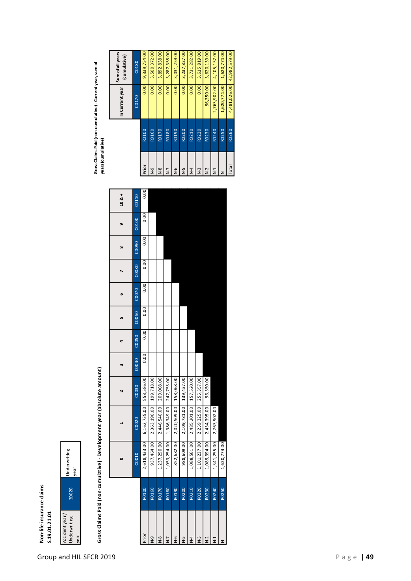## Non-life insurance claims **Non-life insurance claims S.19.01.21.01**



# Gross Claims Paid (non-cumulative) - Development year (absolute amount) **Gross Claims Paid (non-cumulative) - Development year (absolute amount)**

|                |       |              |                         |                   |        | 4     | LO    | G     |       | $\infty$ | e     | $10 & 8 +$ |                |                   | In Current year | sum of all years<br>(cumulative) |
|----------------|-------|--------------|-------------------------|-------------------|--------|-------|-------|-------|-------|----------|-------|------------|----------------|-------------------|-----------------|----------------------------------|
|                |       | C0010        | C0020                   | C <sub>0030</sub> | C00040 | C0050 | C0060 | C0070 | CO080 | C0090    | C0100 | C0110      |                |                   | C0170           | C0180                            |
| Prior          | R0100 | 2,618,433.00 | 6,162,735.00            | 558,586.00        | 0.00   | 0.00  | 0.00  | 0.00  | 0.00  | 0.00     | 0.00  | 0.00       | Prior          | R0100             | 0.00            | 9,339,754.00                     |
| o-N            | R0160 | 937,464.00   | 2,363,190.00            | 199,718.00        |        |       |       |       |       |          |       |            | e-N            | R0160             | 0.00            | 3,500,372.00                     |
| $\frac{8}{2}$  | R0170 | 1,237,290.00 | 2,446,540.00            | 209,008.00        |        |       |       |       |       |          |       |            | $\frac{8}{5}$  | R0170             | 0.00            | 3,892,838.00                     |
| $N-7$          | R0180 | 1,053,254.00 | 1,986,349.00            | 247,755.00        |        |       |       |       |       |          |       |            | $\overline{z}$ | R0180             | 0.00            | 3,287,358.00                     |
| $\frac{6}{2}$  | R0190 | 852,682.00   | 2,020,509.00            | 158,068.00        |        |       |       |       |       |          |       |            | $\frac{6}{5}$  | R0190             | 0.00            | 3,031,259.00                     |
| 5<br>N         | R0200 | 988,609.00   | 2,109,781.00            | 139,437.00        |        |       |       |       |       |          |       |            | Γ-N            | R0200             | 0.00            | 3,237,827.00                     |
| $\overline{A}$ | R0210 | 1,088,561.00 | 2,485,201.00 157,520.00 |                   |        |       |       |       |       |          |       |            | $\frac{1}{4}$  | R0210             | 0.00            | 3,731,282.00                     |
| $\overline{2}$ | R0220 | 1,101,237.00 | 2,259,225.00            | 255,357.00        |        |       |       |       |       |          |       |            | $\frac{3}{2}$  | R <sub>0220</sub> | 0.00            | 3,615,819.00                     |
| $\sim$         | R0230 | 1,089,394.00 | 2,434,395.00            | 96,350.00         |        |       |       |       |       |          |       |            | $N-2$          | R <sub>0230</sub> | 96,350.00       | 3,620,139.00                     |
| $\overline{z}$ | R0240 | 1,341,255.00 | 2,763,902.00            |                   |        |       |       |       |       |          |       |            | $\frac{1}{2}$  | R0240             |                 | 2,763,902.00 4,105,157.00        |
|                | R0250 | 1,620,774.00 |                         |                   |        |       |       |       |       |          |       |            |                | R0250             |                 | 1,620,774.00 1,620,774.00        |
|                |       |              |                         |                   |        |       |       |       |       |          |       |            |                |                   |                 |                                  |

Gross Claims Paid (non-cumulative) - Current year, sum of<br>years (cumulative) **Gross Claims Paid (non-cumulative) - Current year, sum of years (cumulative)**

|                |       | In Current year | Sum of all years<br>(cumulative) |
|----------------|-------|-----------------|----------------------------------|
|                |       | C0170           | C <sub>0180</sub>                |
| Prior          | R0100 | 0.00            | 9,339,754.00                     |
| e-N            | R0160 | 0.00            | 3,500,372.00                     |
| $\frac{8}{2}$  | R0170 | 0.00            | 3,892,838.00                     |
| $N-7$          | R0180 | 0.00            | 3,287,358.00                     |
| $\frac{6}{5}$  | R0190 | 0.00            | 3,031,259.00                     |
| Γ-N            | R0200 | 0.00            | 3,237,827.00                     |
| $\overline{N}$ | R0210 | 0.00            | 3,731,282.00                     |
| $\frac{3}{2}$  | R0220 | 0.00            | 3,615,819.00                     |
| $N-2$          | R0230 | 96,350.00       | 3,620,139.00                     |
| $\overline{z}$ | R0240 | 2,763,902.00    | 4,105,157.00                     |
|                | R0250 | 1,620,774.00    | 1,620,774.00                     |
| Total          | R0260 | 4,481,026.00    | 42,982,579.00                    |
|                |       |                 |                                  |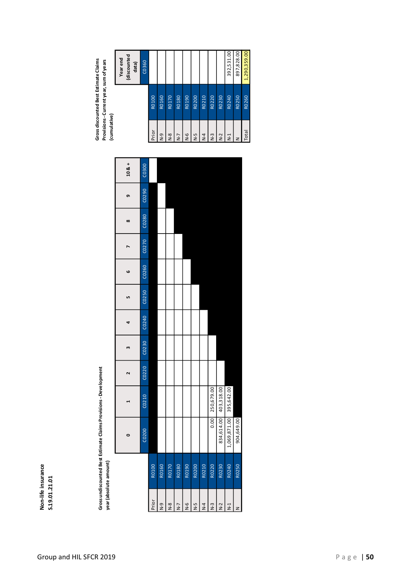## **Non-life insurance S.19.01.21.01**

Gross undiscounted Best Estimate Claims Provisions - Development<br>year (absolute amount) **Gross undiscounted Best Estimate Claims Provisions - Development** 

| ś |
|---|
|   |
| 7 |
|   |
|   |
|   |

| (discounted<br>Year end<br>data) | C0360              |       |                   |               |                |               |               |                |                 |            | 392,531.00     | 897,828.00 | 1,290,359.00 |
|----------------------------------|--------------------|-------|-------------------|---------------|----------------|---------------|---------------|----------------|-----------------|------------|----------------|------------|--------------|
|                                  |                    | R0100 | R0160             | R0170         | R0180          | R0190         | R0200         | R0210          | R0220           | R0230      | R0240          | R0250      | R0260        |
|                                  |                    | Prior | $\frac{9}{2}$     | $\frac{8}{5}$ | $\overline{z}$ | $\frac{6}{5}$ | $\frac{5}{5}$ | $\overline{R}$ | $N-3$           | $N-2$      | $\overline{2}$ | z          | <b>Total</b> |
| $108 +$                          | C0300              |       |                   |               |                |               |               |                |                 |            |                |            |              |
| თ,                               | C <sub>0290</sub>  |       |                   |               |                |               |               |                |                 |            |                |            |              |
| ∞                                | C0280              |       |                   |               |                |               |               |                |                 |            |                |            |              |
|                                  | C0270              |       |                   |               |                |               |               |                |                 |            |                |            |              |
| ဖ                                | C <sub>026</sub> 0 |       |                   |               |                |               |               |                |                 |            |                |            |              |
| LŊ                               | C <sub>0250</sub>  |       |                   |               |                |               |               |                |                 |            |                |            |              |
| 4                                | C0240              |       |                   |               |                |               |               |                |                 |            |                |            |              |
| m                                | C <sub>0230</sub>  |       |                   |               |                |               |               |                |                 |            |                |            |              |
| $\mathbf{\tilde{z}}$             | C <sub>0220</sub>  |       |                   |               |                |               |               |                |                 |            |                |            |              |
|                                  | C0210              |       |                   |               |                |               |               |                | 0.00 250,679.00 | 403,318.00 | 395,642.00     |            |              |
| $\circ$                          | C0200              |       |                   |               |                |               |               |                |                 | 834,614.00 | 1,069,871.00   | 904,649.00 |              |
|                                  |                    | R0100 | R0160             | R0170         | R0180          | R0190         | R0200         | R0210          | R0220           | R0230      | R0240          | R0250      |              |
|                                  |                    | Prior | $\overline{R}$ -D | $\frac{8}{5}$ | $N-7$          | $\frac{6}{5}$ | 2-N           | $N-4$          | $N-3$           | $N-2$      | $\overline{2}$ | z          |              |

Total R0260 1,290,359.00

392,531.00 897,828.00 1,290,359.00

Gross discounted Best Estimate Claims **(cumulative) Gross discounted Best Estimate Claims Provisions - Current year, sum of years**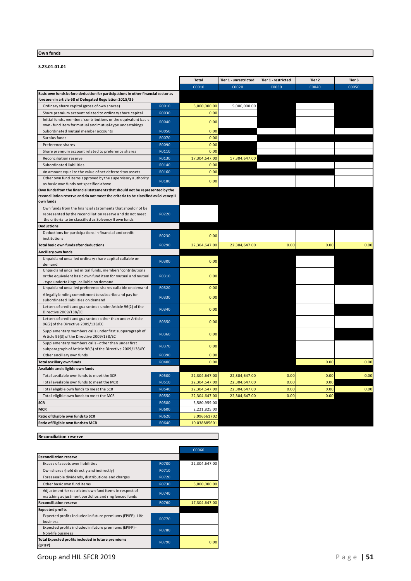#### **Own funds**

#### **S.23.01.01.01**

|                                                                                                                         |                | <b>Total</b>  | Tier 1 - unrestricted | Tier 1 - restricted | Tier 2 | Tier 3 |
|-------------------------------------------------------------------------------------------------------------------------|----------------|---------------|-----------------------|---------------------|--------|--------|
|                                                                                                                         |                | C0010         | C0020                 | C0030               | C0040  | C0050  |
| Basic own funds before deduction for participations in other financial sector as                                        |                |               |                       |                     |        |        |
| foreseen in article 68 of Delegated Regulation 2015/35                                                                  |                |               |                       |                     |        |        |
| Ordinary share capital (gross of own shares)                                                                            | R0010          | 5,000,000.00  | 5,000,000.00          |                     |        |        |
| Share premium account related to ordinary share capital                                                                 | R0030          | 0.00          |                       |                     |        |        |
| Initial funds, members' contributions or the equivalent basic                                                           | R0040          | 0.00          |                       |                     |        |        |
| own - fund item for mutual and mutual-type undertakings                                                                 |                |               |                       |                     |        |        |
| Subordinated mutual member accounts<br>Surplus funds                                                                    | R0050<br>R0070 | 0.00          |                       |                     |        |        |
|                                                                                                                         |                | 0.00          |                       |                     |        |        |
| Preference shares                                                                                                       | R0090          | 0.00          |                       |                     |        |        |
| Share premium account related to preference shares                                                                      | R0110          | 0.00          |                       |                     |        |        |
| Reconciliation reserve                                                                                                  | R0130          | 17,304,647.00 | 17,304,647.00         |                     |        |        |
| Subordinated liabilities                                                                                                | R0140          | 0.00          |                       |                     |        |        |
| An amount equal to the value of net deferred tax assets                                                                 | R0160          | 0.00          |                       |                     |        |        |
| Other own fund items approved by the supervisory authority                                                              | R0180          | 0.00          |                       |                     |        |        |
| as basic own funds not specified above<br>Own funds from the financial statements that should not be represented by the |                |               |                       |                     |        |        |
| reconciliation reserve and do not meet the criteria to be classified as Solvency II                                     |                |               |                       |                     |        |        |
| own funds                                                                                                               |                |               |                       |                     |        |        |
| Own funds from the financial statements that should not be                                                              |                |               |                       |                     |        |        |
| represented by the reconciliation reserve and do not meet                                                               | R0220          |               |                       |                     |        |        |
| the criteria to be classified as Solvency II own funds                                                                  |                |               |                       |                     |        |        |
| <b>Deductions</b>                                                                                                       |                |               |                       |                     |        |        |
| Deductions for participations in financial and credit<br>institutions                                                   | R0230          | 0.00          |                       |                     |        |        |
| Total basic own funds after deductions                                                                                  | R0290          | 22,304,647.00 | 22,304,647.00         | 0.00                | 0.00   | 0.00   |
| Ancillary own funds                                                                                                     |                |               |                       |                     |        |        |
| Unpaid and uncalled ordinary share capital callable on                                                                  | R0300          | 0.00          |                       |                     |        |        |
| demand                                                                                                                  |                |               |                       |                     |        |        |
| Unpaid and uncalled initial funds, members' contributions                                                               |                |               |                       |                     |        |        |
| or the equivalent basic own fund item for mutual and mutual                                                             | R0310          | 0.00          |                       |                     |        |        |
| -type undertakings, callable on demand<br>Unpaid and uncalled preference shares callable on demand                      | R0320          | 0.00          |                       |                     |        |        |
| A legally binding commitment to subscribe and pay for                                                                   |                |               |                       |                     |        |        |
| subordinated liabilities on demand                                                                                      | R0330          | 0.00          |                       |                     |        |        |
| Letters of credit and guarantees under Article 96(2) of the                                                             |                |               |                       |                     |        |        |
| Directive 2009/138/EC                                                                                                   | R0340          | 0.00          |                       |                     |        |        |
| Letters of credit and guarantees other than under Article                                                               | R0350          | 0.00          |                       |                     |        |        |
| 96(2) of the Directive 2009/138/EC                                                                                      |                |               |                       |                     |        |        |
| Supplementary members calls under first subparagraph of<br>Article 96(3) of the Directive 2009/138/EC                   | R0360          | 0.00          |                       |                     |        |        |
| Supplementary members calls - other than under first                                                                    | R0370          | 0.00          |                       |                     |        |        |
| subparagraph of Article 96(3) of the Directive 2009/138/EC                                                              |                |               |                       |                     |        |        |
| Other ancillary own funds                                                                                               | R0390          | 0.00          |                       |                     |        |        |
| Total ancillary own funds                                                                                               | R0400          | 0.00          |                       |                     | 0.00   | 0.00   |
| Available and eligible own funds                                                                                        |                |               |                       |                     |        |        |
| Total available own funds to meet the SCR                                                                               | <b>R0500</b>   | 22,304,647.00 | 22,304,647.00         | 0.00                | 0.00   | 0.00   |
| Total available own funds to meet the MCR                                                                               | R0510          | 22,304,647.00 | 22,304,647.00         | 0.00                | 0.00   |        |
| Total eligible own funds to meet the SCR                                                                                | R0540          | 22,304,647.00 | 22,304,647.00         | 0.00                | 0.00   | 0.00   |
| Total eligible own funds to meet the MCR                                                                                | <b>R0550</b>   | 22,304,647.00 | 22,304,647.00         | 0.00                | 0.00   |        |
| <b>SCR</b>                                                                                                              | <b>R0580</b>   | 5,580,959.00  |                       |                     |        |        |
| MCR                                                                                                                     | R0600          | 2,221,825.00  |                       |                     |        |        |
| Ratio of Eligible own funds to SCR                                                                                      | R0620          | 3.996561702   |                       |                     |        |        |
| Ratio of Eligible own funds to MCR                                                                                      | R0640          | 10.038885601  |                       |                     |        |        |

#### **Reconciliation reserve**

|                                                                                                                |              | C0060         |
|----------------------------------------------------------------------------------------------------------------|--------------|---------------|
| <b>Reconciliation reserve</b>                                                                                  |              |               |
| Excess of assets over liabilities                                                                              | R0700        | 22,304,647.00 |
| Own shares (held directly and indirectly)                                                                      | R0710        |               |
| Foreseeable dividends, distributions and charges                                                               | R0720        |               |
| Other basic own fund items                                                                                     | R0730        | 5,000,000.00  |
| Adjustment for restricted own fund items in respect of<br>matching adjustment portfolios and ring fenced funds | R0740        |               |
| <b>Reconciliation reserve</b>                                                                                  | R0760        | 17,304,647.00 |
| <b>Expected profits</b>                                                                                        |              |               |
| Expected profits included in future premiums (EPIFP) - Life<br>business                                        | <b>R0770</b> |               |
| Expected profits included in future premiums (EPIFP) -<br>Non-life business                                    | R0780        |               |
| Total Expected profits included in future premiums<br>(EPIFP)                                                  | R0790        | 0.00          |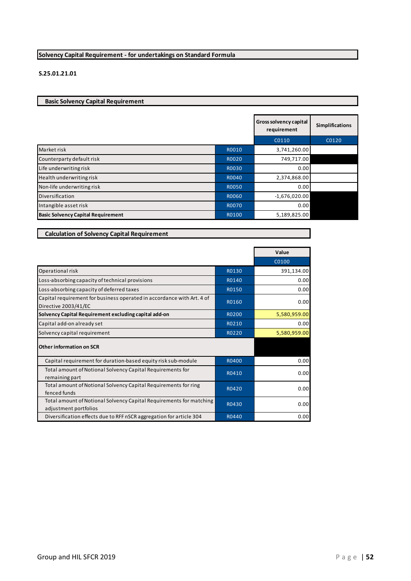#### **Solvency Capital Requirement - for undertakings on Standard Formula**

#### **S.25.01.21.01**

**Basic Solvency Capital Requirement** 

**Calculation of Solvency Capital Requirement**

|                                           |              | Gross solvency capital<br>requirement | <b>Simplifications</b> |
|-------------------------------------------|--------------|---------------------------------------|------------------------|
|                                           |              | C0110                                 | C0120                  |
| Market risk                               | R0010        | 3,741,260.00                          |                        |
| Counterparty default risk                 | R0020        | 749,717.00                            |                        |
| Life underwriting risk                    | R0030        | 0.00                                  |                        |
| Health underwriting risk                  | R0040        | 2,374,868.00                          |                        |
| Non-life underwriting risk                | <b>R0050</b> | 0.00                                  |                        |
| Diversification                           | R0060        | $-1,676,020.00$                       |                        |
| Intangible asset risk                     | <b>R0070</b> | 0.00                                  |                        |
| <b>Basic Solvency Capital Requirement</b> | R0100        | 5,189,825.00                          |                        |

|                                                                                                |       | Value        |
|------------------------------------------------------------------------------------------------|-------|--------------|
|                                                                                                |       | C0100        |
| Operational risk                                                                               | R0130 | 391,134.00   |
| Loss-absorbing capacity of technical provisions                                                | R0140 | 0.00         |
| Loss-absorbing capacity of deferred taxes                                                      | R0150 | 0.00         |
| Capital requirement for business operated in accordance with Art. 4 of<br>Directive 2003/41/EC | R0160 | 0.00         |
| Solvency Capital Requirement excluding capital add-on                                          | R0200 | 5,580,959.00 |
| Capital add-on already set                                                                     | R0210 | 0.00         |
| Solvency capital requirement                                                                   | R0220 | 5,580,959.00 |
| Other information on SCR                                                                       |       |              |
| Capital requirement for duration-based equity risk sub-module                                  | R0400 | 0.00         |
| Total amount of Notional Solvency Capital Requirements for<br>remaining part                   | R0410 | 0.00         |
| Total amount of Notional Solvency Capital Requirements for ring<br>fenced funds                | R0420 | 0.00         |
| Total amount of Notional Solvency Capital Requirements for matching<br>adjustment portfolios   | R0430 | 0.00         |
| Diversification effects due to RFF nSCR aggregation for article 304                            | R0440 | 0.00         |